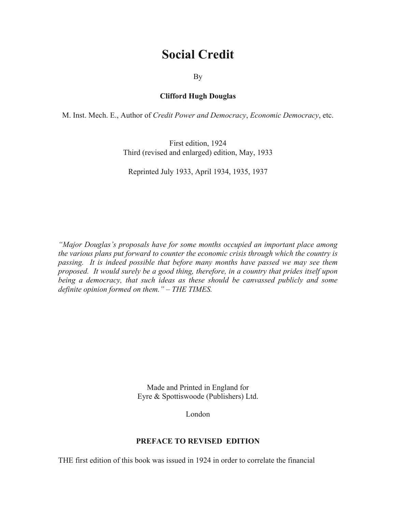# **Social Credit**

By

### **Clifford Hugh Douglas**

M. Inst. Mech. E., Author of *Credit Power and Democracy*, *Economic Democracy*, etc.

First edition, 1924 Third (revised and enlarged) edition, May, 1933

Reprinted July 1933, April 1934, 1935, 1937

*"Major Douglas's proposals have for some months occupied an important place among the various plans put forward to counter the economic crisis through which the country is passing. It is indeed possible that before many months have passed we may see them proposed. It would surely be a good thing, therefore, in a country that prides itself upon*  being a democracy, that such ideas as these should be canvassed publicly and some *definite opinion formed on them." – THE TIMES.*

> Made and Printed in England for Eyre & Spottiswoode (Publishers) Ltd.

> > London

### **PREFACE TO REVISED EDITION**

THE first edition of this book was issued in 1924 in order to correlate the financial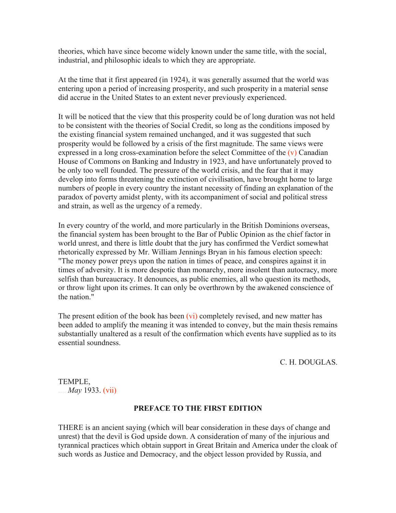theories, which have since become widely known under the same title, with the social, industrial, and philosophic ideals to which they are appropriate.

At the time that it first appeared (in 1924), it was generally assumed that the world was entering upon a period of increasing prosperity, and such prosperity in a material sense did accrue in the United States to an extent never previously experienced.

It will be noticed that the view that this prosperity could be of long duration was not held to be consistent with the theories of Social Credit, so long as the conditions imposed by the existing financial system remained unchanged, and it was suggested that such prosperity would be followed by a crisis of the first magnitude. The same views were expressed in a long cross-examination before the select Committee of the (v) Canadian House of Commons on Banking and Industry in 1923, and have unfortunately proved to be only too well founded. The pressure of the world crisis, and the fear that it may develop into forms threatening the extinction of civilisation, have brought home to large numbers of people in every country the instant necessity of finding an explanation of the paradox of poverty amidst plenty, with its accompaniment of social and political stress and strain, as well as the urgency of a remedy.

In every country of the world, and more particularly in the British Dominions overseas, the financial system has been brought to the Bar of Public Opinion as the chief factor in world unrest, and there is little doubt that the jury has confirmed the Verdict somewhat rhetorically expressed by Mr. William Jennings Bryan in his famous election speech: "The money power preys upon the nation in times of peace, and conspires against it in times of adversity. It is more despotic than monarchy, more insolent than autocracy, more selfish than bureaucracy. It denounces, as public enemies, all who question its methods, or throw light upon its crimes. It can only be overthrown by the awakened conscience of the nation."

The present edition of the book has been (vi) completely revised, and new matter has been added to amplify the meaning it was intended to convey, but the main thesis remains substantially unaltered as a result of the confirmation which events have supplied as to its essential soundness.

C. H. DOUGLAS.

TEMPLE, .... *May* 1933. (vii)

### **PREFACE TO THE FIRST EDITION**

THERE is an ancient saying (which will bear consideration in these days of change and unrest) that the devil is God upside down. A consideration of many of the injurious and tyrannical practices which obtain support in Great Britain and America under the cloak of such words as Justice and Democracy, and the object lesson provided by Russia, and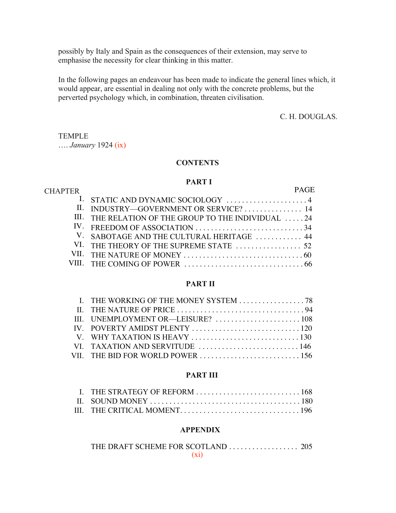possibly by Italy and Spain as the consequences of their extension, may serve to emphasise the necessity for clear thinking in this matter.

In the following pages an endeavour has been made to indicate the general lines which, it would appear, are essential in dealing not only with the concrete problems, but the perverted psychology which, in combination, threaten civilisation.

### C. H. DOUGLAS.

# **TEMPLE** …. *January* 1924 (ix)

#### **CONTENTS**

### **PART I**

# CHAPTER PAGE I. STATIC AND DYNAMIC SOCIOLOGY . . . . . . . . . . . . . . . . . . . . . 4 4 II. INDUSTRY—GOVERNMENT OR SERVICE? . . . . . . . . . . . . . . 14 III. THE RELATION OF THE GROUP TO THE INDIVIDUAL .....24 IV. FREEDOM OF ASSOCIATION ..................................34 V. SABOTAGE AND THE CULTURAL HERITAGE ............ 44 VI. THE THEORY OF THE SUPREME STATE . . . . . . . . . . . . . . . . . 52 52 VII. THE NATURE OF MONEY . . . . . . . . . . . . . . . . . . . . . . . . . . . . . . . 60 60 VIII. THE COMING OF POWER . . . . . . . . . . . . . . . . . . . . . . . . . . . . . . . 66 66

#### **PART II**

| I THE WORKING OF THE MONEY SYSTEM $\ldots$ $\ldots$ $\ldots$ $\ldots$ 78 |
|--------------------------------------------------------------------------|
|                                                                          |
|                                                                          |
|                                                                          |
|                                                                          |
|                                                                          |
|                                                                          |

### **PART III**

### **APPENDIX**

| THE DRAFT SCHEME FOR SCOTLAND  205 |  |
|------------------------------------|--|
| $\overline{(\overline{x})}$        |  |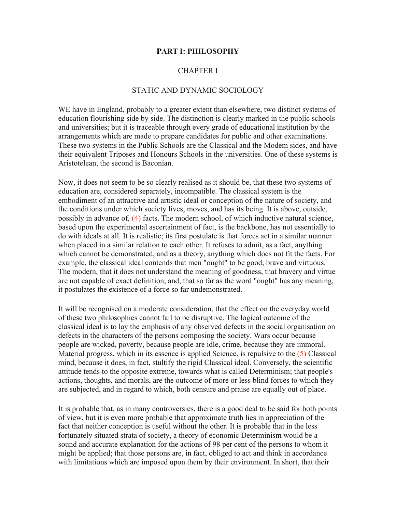### **PART I: PHILOSOPHY**

# CHAPTER I

# STATIC AND DYNAMIC SOCIOLOGY

WE have in England, probably to a greater extent than elsewhere, two distinct systems of education flourishing side by side. The distinction is clearly marked in the public schools and universities; but it is traceable through every grade of educational institution by the arrangements which are made to prepare candidates for public and other examinations. These two systems in the Public Schools are the Classical and the Modem sides, and have their equivalent Triposes and Honours Schools in the universities. One of these systems is Aristotelean, the second is Baconian.

Now, it does not seem to be so clearly realised as it should be, that these two systems of education are, considered separately, incompatible. The classical system is the embodiment of an attractive and artistic ideal or conception of the nature of society, and the conditions under which society lives, moves, and has its being. It is above, outside, possibly in advance of, (4) facts. The modern school, of which inductive natural science, based upon the experimental ascertainment of fact, is the backbone, has not essentially to do with ideals at all. It is realistic; its first postulate is that forces act in a similar manner when placed in a similar relation to each other. It refuses to admit, as a fact, anything which cannot be demonstrated, and as a theory, anything which does not fit the facts. For example, the classical ideal contends that men "ought" to be good, brave and virtuous. The modern, that it does not understand the meaning of goodness, that bravery and virtue are not capable of exact definition, and, that so far as the word "ought" has any meaning, it postulates the existence of a force so far undemonstrated.

It will be recognised on a moderate consideration, that the effect on the everyday world of these two philosophies cannot fail to be disruptive. The logical outcome of the classical ideal is to lay the emphasis of any observed defects in the social organisation on defects in the characters of the persons composing the society. Wars occur because people are wicked, poverty, because people are idle, crime, because they are immoral. Material progress, which in its essence is applied Science, is repulsive to the (5) Classical mind, because it does, in fact, stultify the rigid Classical ideal. Conversely, the scientific attitude tends to the opposite extreme, towards what is called Determinism; that people's actions, thoughts, and morals, are the outcome of more or less blind forces to which they are subjected, and in regard to which, both censure and praise are equally out of place.

It is probable that, as in many controversies, there is a good deal to be said for both points of view, but it is even more probable that approximate truth lies in appreciation of the fact that neither conception is useful without the other. It is probable that in the less fortunately situated strata of society, a theory of economic Determinism would be a sound and accurate explanation for the actions of 98 per cent of the persons to whom it might be applied; that those persons are, in fact, obliged to act and think in accordance with limitations which are imposed upon them by their environment. In short, that their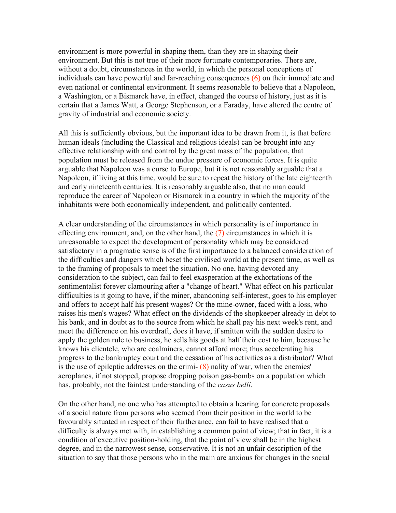environment is more powerful in shaping them, than they are in shaping their environment. But this is not true of their more fortunate contemporaries. There are, without a doubt, circumstances in the world, in which the personal conceptions of individuals can have powerful and far-reaching consequences (6) on their immediate and even national or continental environment. It seems reasonable to believe that a Napoleon, a Washington, or a Bismarck have, in effect, changed the course of history, just as it is certain that a James Watt, a George Stephenson, or a Faraday, have altered the centre of gravity of industrial and economic society.

All this is sufficiently obvious, but the important idea to be drawn from it, is that before human ideals (including the Classical and religious ideals) can be brought into any effective relationship with and control by the great mass of the population, that population must be released from the undue pressure of economic forces. It is quite arguable that Napoleon was a curse to Europe, but it is not reasonably arguable that a Napoleon, if living at this time, would be sure to repeat the history of the late eighteenth and early nineteenth centuries. It is reasonably arguable also, that no man could reproduce the career of Napoleon or Bismarck in a country in which the majority of the inhabitants were both economically independent, and politically contented.

A clear understanding of the circumstances in which personality is of importance in effecting environment, and, on the other hand, the (7) circumstances in which it is unreasonable to expect the development of personality which may be considered satisfactory in a pragmatic sense is of the first importance to a balanced consideration of the difficulties and dangers which beset the civilised world at the present time, as well as to the framing of proposals to meet the situation. No one, having devoted any consideration to the subject, can fail to feel exasperation at the exhortations of the sentimentalist forever clamouring after a "change of heart." What effect on his particular difficulties is it going to have, if the miner, abandoning self-interest, goes to his employer and offers to accept half his present wages? Or the mine-owner, faced with a loss, who raises his men's wages? What effect on the dividends of the shopkeeper already in debt to his bank, and in doubt as to the source from which he shall pay his next week's rent, and meet the difference on his overdraft, does it have, if smitten with the sudden desire to apply the golden rule to business, he sells his goods at half their cost to him, because he knows his clientele, who are coalminers, cannot afford more; thus accelerating his progress to the bankruptcy court and the cessation of his activities as a distributor? What is the use of epileptic addresses on the crimi- (8) nality of war, when the enemies' aeroplanes, if not stopped, propose dropping poison gas-bombs on a population which has, probably, not the faintest understanding of the *casus belli*.

On the other hand, no one who has attempted to obtain a hearing for concrete proposals of a social nature from persons who seemed from their position in the world to be favourably situated in respect of their furtherance, can fail to have realised that a difficulty is always met with, in establishing a common point of view; that in fact, it is a condition of executive position-holding, that the point of view shall be in the highest degree, and in the narrowest sense, conservative. It is not an unfair description of the situation to say that those persons who in the main are anxious for changes in the social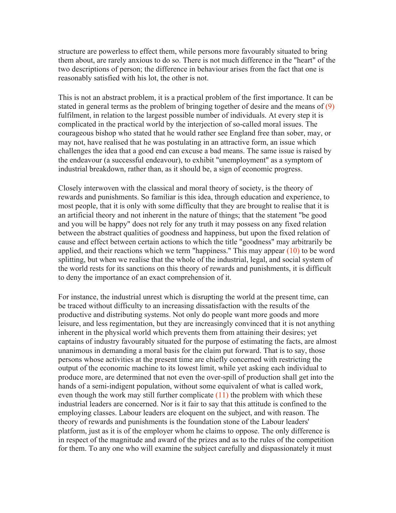structure are powerless to effect them, while persons more favourably situated to bring them about, are rarely anxious to do so. There is not much difference in the "heart" of the two descriptions of person; the difference in behaviour arises from the fact that one is reasonably satisfied with his lot, the other is not.

This is not an abstract problem, it is a practical problem of the first importance. It can be stated in general terms as the problem of bringing together of desire and the means of (9) fulfilment, in relation to the largest possible number of individuals. At every step it is complicated in the practical world by the interjection of so-called moral issues. The courageous bishop who stated that he would rather see England free than sober, may, or may not, have realised that he was postulating in an attractive form, an issue which challenges the idea that a good end can excuse a bad means. The same issue is raised by the endeavour (a successful endeavour), to exhibit "unemployment" as a symptom of industrial breakdown, rather than, as it should be, a sign of economic progress.

Closely interwoven with the classical and moral theory of society, is the theory of rewards and punishments. So familiar is this idea, through education and experience, to most people, that it is only with some difficulty that they are brought to realise that it is an artificial theory and not inherent in the nature of things; that the statement "be good and you will be happy" does not rely for any truth it may possess on any fixed relation between the abstract qualities of goodness and happiness, but upon the fixed relation of cause and effect between certain actions to which the title "goodness" may arbitrarily be applied, and their reactions which we term "happiness." This may appear  $(10)$  to be word splitting, but when we realise that the whole of the industrial, legal, and social system of the world rests for its sanctions on this theory of rewards and punishments, it is difficult to deny the importance of an exact comprehension of it.

For instance, the industrial unrest which is disrupting the world at the present time, can be traced without difficulty to an increasing dissatisfaction with the results of the productive and distributing systems. Not only do people want more goods and more leisure, and less regimentation, but they are increasingly convinced that it is not anything inherent in the physical world which prevents them from attaining their desires; yet captains of industry favourably situated for the purpose of estimating the facts, are almost unanimous in demanding a moral basis for the claim put forward. That is to say, those persons whose activities at the present time are chiefly concerned with restricting the output of the economic machine to its lowest limit, while yet asking each individual to produce more, are determined that not even the over-spill of production shall get into the hands of a semi-indigent population, without some equivalent of what is called work, even though the work may still further complicate  $(11)$  the problem with which these industrial leaders are concerned. Nor is it fair to say that this attitude is confined to the employing classes. Labour leaders are eloquent on the subject, and with reason. The theory of rewards and punishments is the foundation stone of the Labour leaders' platform, just as it is of the employer whom he claims to oppose. The only difference is in respect of the magnitude and award of the prizes and as to the rules of the competition for them. To any one who will examine the subject carefully and dispassionately it must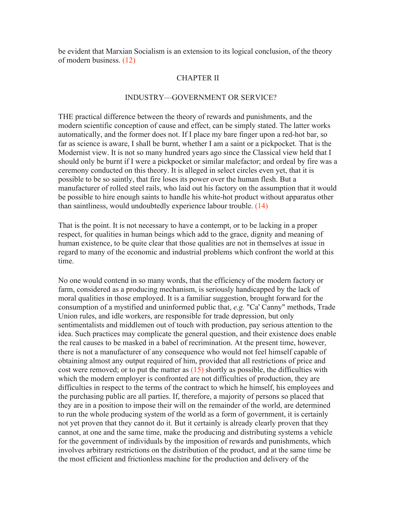be evident that Marxian Socialism is an extension to its logical conclusion, of the theory of modern business. (12)

### CHAPTER II

### INDUSTRY—GOVERNMENT OR SERVICE?

THE practical difference between the theory of rewards and punishments, and the modern scientific conception of cause and effect, can be simply stated. The latter works automatically, and the former does not. If I place my bare finger upon a red-hot bar, so far as science is aware, I shall be burnt, whether I am a saint or a pickpocket. That is the Modernist view. It is not so many hundred years ago since the Classical view held that I should only be burnt if I were a pickpocket or similar malefactor; and ordeal by fire was a ceremony conducted on this theory. It is alleged in select circles even yet, that it is possible to be so saintly, that fire loses its power over the human flesh. But a manufacturer of rolled steel rails, who laid out his factory on the assumption that it would be possible to hire enough saints to handle his white-hot product without apparatus other than saintliness, would undoubtedly experience labour trouble. (14)

That is the point. It is not necessary to have a contempt, or to be lacking in a proper respect, for qualities in human beings which add to the grace, dignity and meaning of human existence, to be quite clear that those qualities are not in themselves at issue in regard to many of the economic and industrial problems which confront the world at this time.

No one would contend in so many words, that the efficiency of the modern factory or farm, considered as a producing mechanism, is seriously handicapped by the lack of moral qualities in those employed. It is a familiar suggestion, brought forward for the consumption of a mystified and uninformed public that, *e.g.* "Ca' Canny" methods, Trade Union rules, and idle workers, are responsible for trade depression, but only sentimentalists and middlemen out of touch with production, pay serious attention to the idea. Such practices may complicate the general question, and their existence does enable the real causes to be masked in a babel of recrimination. At the present time, however, there is not a manufacturer of any consequence who would not feel himself capable of obtaining almost any output required of him, provided that all restrictions of price and cost were removed; or to put the matter as (15) shortly as possible, the difficulties with which the modern employer is confronted are not difficulties of production, they are difficulties in respect to the terms of the contract to which he himself, his employees and the purchasing public are all parties. If, therefore, a majority of persons so placed that they are in a position to impose their will on the remainder of the world, are determined to run the whole producing system of the world as a form of government, it is certainly not yet proven that they cannot do it. But it certainly is already clearly proven that they cannot, at one and the same time, make the producing and distributing systems a vehicle for the government of individuals by the imposition of rewards and punishments, which involves arbitrary restrictions on the distribution of the product, and at the same time be the most efficient and frictionless machine for the production and delivery of the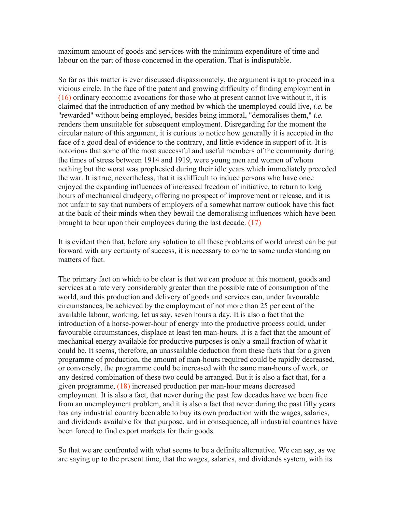maximum amount of goods and services with the minimum expenditure of time and labour on the part of those concerned in the operation. That is indisputable.

So far as this matter is ever discussed dispassionately, the argument is apt to proceed in a vicious circle. In the face of the patent and growing difficulty of finding employment in (16) ordinary economic avocations for those who at present cannot live without it, it is claimed that the introduction of any method by which the unemployed could live, *i.e.* be "rewarded" without being employed, besides being immoral, "demoralises them," *i.e.* renders them unsuitable for subsequent employment. Disregarding for the moment the circular nature of this argument, it is curious to notice how generally it is accepted in the face of a good deal of evidence to the contrary, and little evidence in support of it. It is notorious that some of the most successful and useful members of the community during the times of stress between 1914 and 1919, were young men and women of whom nothing but the worst was prophesied during their idle years which immediately preceded the war. It is true, nevertheless, that it is difficult to induce persons who have once enjoyed the expanding influences of increased freedom of initiative, to return to long hours of mechanical drudgery, offering no prospect of improvement or release, and it is not unfair to say that numbers of employers of a somewhat narrow outlook have this fact at the back of their minds when they bewail the demoralising influences which have been brought to bear upon their employees during the last decade. (17)

It is evident then that, before any solution to all these problems of world unrest can be put forward with any certainty of success, it is necessary to come to some understanding on matters of fact.

The primary fact on which to be clear is that we can produce at this moment, goods and services at a rate very considerably greater than the possible rate of consumption of the world, and this production and delivery of goods and services can, under favourable circumstances, be achieved by the employment of not more than 25 per cent of the available labour, working, let us say, seven hours a day. It is also a fact that the introduction of a horse-power-hour of energy into the productive process could, under favourable circumstances, displace at least ten man-hours. It is a fact that the amount of mechanical energy available for productive purposes is only a small fraction of what it could be. It seems, therefore, an unassailable deduction from these facts that for a given programme of production, the amount of man-hours required could be rapidly decreased, or conversely, the programme could be increased with the same man-hours of work, or any desired combination of these two could be arranged. But it is also a fact that, for a given programme, (18) increased production per man-hour means decreased employment. It is also a fact, that never during the past few decades have we been free from an unemployment problem, and it is also a fact that never during the past fifty years has any industrial country been able to buy its own production with the wages, salaries, and dividends available for that purpose, and in consequence, all industrial countries have been forced to find export markets for their goods.

So that we are confronted with what seems to be a definite alternative. We can say, as we are saying up to the present time, that the wages, salaries, and dividends system, with its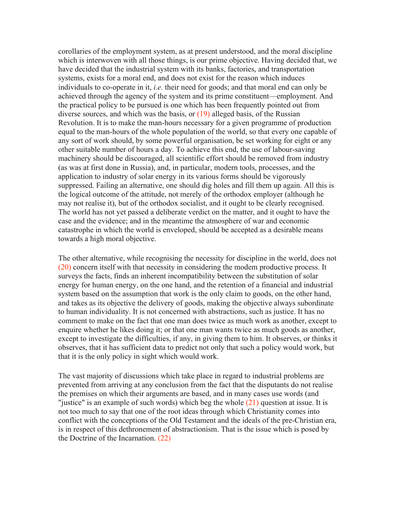corollaries of the employment system, as at present understood, and the moral discipline which is interwoven with all those things, is our prime objective. Having decided that, we have decided that the industrial system with its banks, factories, and transportation systems, exists for a moral end, and does not exist for the reason which induces individuals to co-operate in it, *i.e.* their need for goods; and that moral end can only be achieved through the agency of the system and its prime constituent—employment. And the practical policy to be pursued is one which has been frequently pointed out from diverse sources, and which was the basis, or (19) alleged basis, of the Russian Revolution. It is to make the man-hours necessary for a given programme of production equal to the man-hours of the whole population of the world, so that every one capable of any sort of work should, by some powerful organisation, be set working for eight or any other suitable number of hours a day. To achieve this end, the use of labour-saving machinery should be discouraged, all scientific effort should be removed from industry (as was at first done in Russia), and, in particular, modern tools, processes, and the application to industry of solar energy in its various forms should be vigorously suppressed. Failing an alternative, one should dig holes and fill them up again. All this is the logical outcome of the attitude, not merely of the orthodox employer (although he may not realise it), but of the orthodox socialist, and it ought to be clearly recognised. The world has not yet passed a deliberate verdict on the matter, and it ought to have the case and the evidence; and in the meantime the atmosphere of war and economic catastrophe in which the world is enveloped, should be accepted as a desirable means towards a high moral objective.

The other alternative, while recognising the necessity for discipline in the world, does not (20) concern itself with that necessity in considering the modem productive process. It surveys the facts, finds an inherent incompatibility between the substitution of solar energy for human energy, on the one hand, and the retention of a financial and industrial system based on the assumption that work is the only claim to goods, on the other hand, and takes as its objective the delivery of goods, making the objective always subordinate to human individuality. It is not concerned with abstractions, such as justice. It has no comment to make on the fact that one man does twice as much work as another, except to enquire whether he likes doing it; or that one man wants twice as much goods as another, except to investigate the difficulties, if any, in giving them to him. It observes, or thinks it observes, that it has sufficient data to predict not only that such a policy would work, but that it is the only policy in sight which would work.

The vast majority of discussions which take place in regard to industrial problems are prevented from arriving at any conclusion from the fact that the disputants do not realise the premises on which their arguments are based, and in many cases use words (and "justice" is an example of such words) which beg the whole (21) question at issue. It is not too much to say that one of the root ideas through which Christianity comes into conflict with the conceptions of the Old Testament and the ideals of the pre-Christian era, is in respect of this dethronement of abstractionism. That is the issue which is posed by the Doctrine of the Incarnation. (22)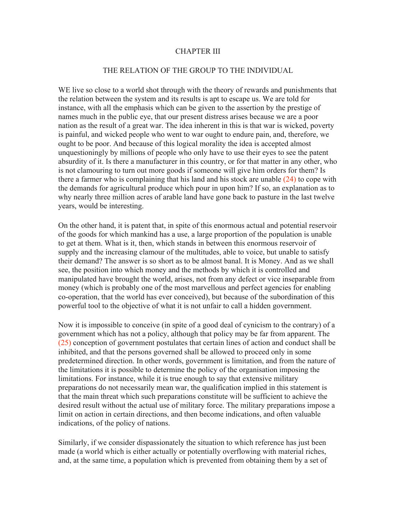# CHAPTER III

### THE RELATION OF THE GROUP TO THE INDIVIDUAL

WE live so close to a world shot through with the theory of rewards and punishments that the relation between the system and its results is apt to escape us. We are told for instance, with all the emphasis which can be given to the assertion by the prestige of names much in the public eye, that our present distress arises because we are a poor nation as the result of a great war. The idea inherent in this is that war is wicked, poverty is painful, and wicked people who went to war ought to endure pain, and, therefore, we ought to be poor. And because of this logical morality the idea is accepted almost unquestioningly by millions of people who only have to use their eyes to see the patent absurdity of it. Is there a manufacturer in this country, or for that matter in any other, who is not clamouring to turn out more goods if someone will give him orders for them? Is there a farmer who is complaining that his land and his stock are unable (24) to cope with the demands for agricultural produce which pour in upon him? If so, an explanation as to why nearly three million acres of arable land have gone back to pasture in the last twelve years, would be interesting.

On the other hand, it is patent that, in spite of this enormous actual and potential reservoir of the goods for which mankind has a use, a large proportion of the population is unable to get at them. What is it, then, which stands in between this enormous reservoir of supply and the increasing clamour of the multitudes, able to voice, but unable to satisfy their demand? The answer is so short as to be almost banal. It is Money. And as we shall see, the position into which money and the methods by which it is controlled and manipulated have brought the world, arises, not from any defect or vice inseparable from money (which is probably one of the most marvellous and perfect agencies for enabling co-operation, that the world has ever conceived), but because of the subordination of this powerful tool to the objective of what it is not unfair to call a hidden government.

Now it is impossible to conceive (in spite of a good deal of cynicism to the contrary) of a government which has not a policy, although that policy may be far from apparent. The (25) conception of government postulates that certain lines of action and conduct shall be inhibited, and that the persons governed shall be allowed to proceed only in some predetermined direction. In other words, government is limitation, and from the nature of the limitations it is possible to determine the policy of the organisation imposing the limitations. For instance, while it is true enough to say that extensive military preparations do not necessarily mean war, the qualification implied in this statement is that the main threat which such preparations constitute will be sufficient to achieve the desired result without the actual use of military force. The military preparations impose a limit on action in certain directions, and then become indications, and often valuable indications, of the policy of nations.

Similarly, if we consider dispassionately the situation to which reference has just been made (a world which is either actually or potentially overflowing with material riches, and, at the same time, a population which is prevented from obtaining them by a set of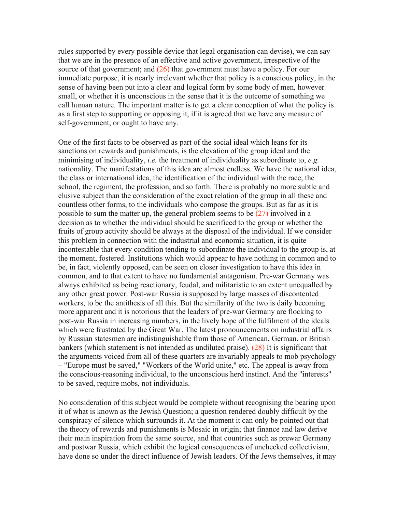rules supported by every possible device that legal organisation can devise), we can say that we are in the presence of an effective and active government, irrespective of the source of that government; and  $(26)$  that government must have a policy. For our immediate purpose, it is nearly irrelevant whether that policy is a conscious policy, in the sense of having been put into a clear and logical form by some body of men, however small, or whether it is unconscious in the sense that it is the outcome of something we call human nature. The important matter is to get a clear conception of what the policy is as a first step to supporting or opposing it, if it is agreed that we have any measure of self-government, or ought to have any.

One of the first facts to be observed as part of the social ideal which leans for its sanctions on rewards and punishments, is the elevation of the group ideal and the minimising of individuality, *i.e.* the treatment of individuality as subordinate to, *e.g.* nationality. The manifestations of this idea are almost endless. We have the national idea, the class or international idea, the identification of the individual with the race, the school, the regiment, the profession, and so forth. There is probably no more subtle and elusive subject than the consideration of the exact relation of the group in all these and countless other forms, to the individuals who compose the groups. But as far as it is possible to sum the matter up, the general problem seems to be  $(27)$  involved in a decision as to whether the individual should be sacrificed to the group or whether the fruits of group activity should be always at the disposal of the individual. If we consider this problem in connection with the industrial and economic situation, it is quite incontestable that every condition tending to subordinate the individual to the group is, at the moment, fostered. Institutions which would appear to have nothing in common and to be, in fact, violently opposed, can be seen on closer investigation to have this idea in common, and to that extent to have no fundamental antagonism. Pre-war Germany was always exhibited as being reactionary, feudal, and militaristic to an extent unequalled by any other great power. Post-war Russia is supposed by large masses of discontented workers, to be the antithesis of all this. But the similarity of the two is daily becoming more apparent and it is notorious that the leaders of pre-war Germany are flocking to post-war Russia in increasing numbers, in the lively hope of the fulfilment of the ideals which were frustrated by the Great War. The latest pronouncements on industrial affairs by Russian statesmen are indistinguishable from those of American, German, or British bankers (which statement is not intended as undiluted praise). (28) It is significant that the arguments voiced from all of these quarters are invariably appeals to mob psychology – "Europe must be saved," "Workers of the World unite," etc. The appeal is away from the conscious-reasoning individual, to the unconscious herd instinct. And the "interests" to be saved, require mobs, not individuals.

No consideration of this subject would be complete without recognising the bearing upon it of what is known as the Jewish Question; a question rendered doubly difficult by the conspiracy of silence which surrounds it. At the moment it can only be pointed out that the theory of rewards and punishments is Mosaic in origin; that finance and law derive their main inspiration from the same source, and that countries such as prewar Germany and postwar Russia, which exhibit the logical consequences of unchecked collectivism, have done so under the direct influence of Jewish leaders. Of the Jews themselves, it may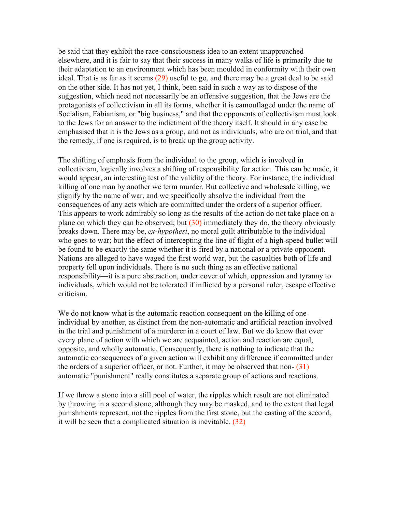be said that they exhibit the race-consciousness idea to an extent unapproached elsewhere, and it is fair to say that their success in many walks of life is primarily due to their adaptation to an environment which has been moulded in conformity with their own ideal. That is as far as it seems (29) useful to go, and there may be a great deal to be said on the other side. It has not yet, I think, been said in such a way as to dispose of the suggestion, which need not necessarily be an offensive suggestion, that the Jews are the protagonists of collectivism in all its forms, whether it is camouflaged under the name of Socialism, Fabianism, or "big business," and that the opponents of collectivism must look to the Jews for an answer to the indictment of the theory itself. It should in any case be emphasised that it is the Jews as a group, and not as individuals, who are on trial, and that the remedy, if one is required, is to break up the group activity.

The shifting of emphasis from the individual to the group, which is involved in collectivism, logically involves a shifting of responsibility for action. This can be made, it would appear, an interesting test of the validity of the theory. For instance, the individual killing of one man by another we term murder. But collective and wholesale killing, we dignify by the name of war, and we specifically absolve the individual from the consequences of any acts which are committed under the orders of a superior officer. This appears to work admirably so long as the results of the action do not take place on a plane on which they can be observed; but  $(30)$  immediately they do, the theory obviously breaks down. There may be, *ex-hypothesi*, no moral guilt attributable to the individual who goes to war; but the effect of intercepting the line of flight of a high-speed bullet will be found to be exactly the same whether it is fired by a national or a private opponent. Nations are alleged to have waged the first world war, but the casualties both of life and property fell upon individuals. There is no such thing as an effective national responsibility—it is a pure abstraction, under cover of which, oppression and tyranny to individuals, which would not be tolerated if inflicted by a personal ruler, escape effective criticism.

We do not know what is the automatic reaction consequent on the killing of one individual by another, as distinct from the non-automatic and artificial reaction involved in the trial and punishment of a murderer in a court of law. But we do know that over every plane of action with which we are acquainted, action and reaction are equal, opposite, and wholly automatic. Consequently, there is nothing to indicate that the automatic consequences of a given action will exhibit any difference if committed under the orders of a superior officer, or not. Further, it may be observed that non- (31) automatic "punishment" really constitutes a separate group of actions and reactions.

If we throw a stone into a still pool of water, the ripples which result are not eliminated by throwing in a second stone, although they may be masked, and to the extent that legal punishments represent, not the ripples from the first stone, but the casting of the second, it will be seen that a complicated situation is inevitable. (32)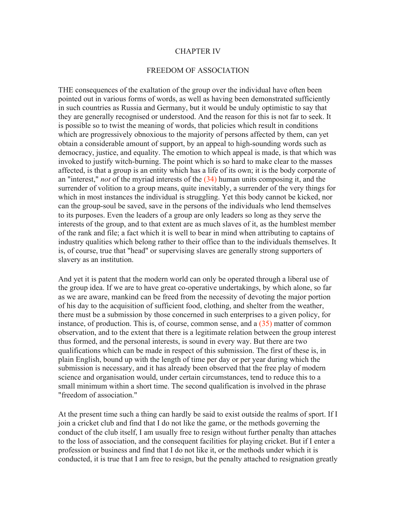#### CHAPTER IV

### FREEDOM OF ASSOCIATION

THE consequences of the exaltation of the group over the individual have often been pointed out in various forms of words, as well as having been demonstrated sufficiently in such countries as Russia and Germany, but it would be unduly optimistic to say that they are generally recognised or understood. And the reason for this is not far to seek. It is possible so to twist the meaning of words, that policies which result in conditions which are progressively obnoxious to the majority of persons affected by them, can yet obtain a considerable amount of support, by an appeal to high-sounding words such as democracy, justice, and equality. The emotion to which appeal is made, is that which was invoked to justify witch-burning. The point which is so hard to make clear to the masses affected, is that a group is an entity which has a life of its own; it is the body corporate of an "interest," *not* of the myriad interests of the (34) human units composing it, and the surrender of volition to a group means, quite inevitably, a surrender of the very things for which in most instances the individual is struggling. Yet this body cannot be kicked, nor can the group-soul be saved, save in the persons of the individuals who lend themselves to its purposes. Even the leaders of a group are only leaders so long as they serve the interests of the group, and to that extent are as much slaves of it, as the humblest member of the rank and file; a fact which it is well to bear in mind when attributing to captains of industry qualities which belong rather to their office than to the individuals themselves. It is, of course, true that "head" or supervising slaves are generally strong supporters of slavery as an institution.

And yet it is patent that the modern world can only be operated through a liberal use of the group idea. If we are to have great co-operative undertakings, by which alone, so far as we are aware, mankind can be freed from the necessity of devoting the major portion of his day to the acquisition of sufficient food, clothing, and shelter from the weather, there must be a submission by those concerned in such enterprises to a given policy, for instance, of production. This is, of course, common sense, and a (35) matter of common observation, and to the extent that there is a legitimate relation between the group interest thus formed, and the personal interests, is sound in every way. But there are two qualifications which can be made in respect of this submission. The first of these is, in plain English, bound up with the length of time per day or per year during which the submission is necessary, and it has already been observed that the free play of modern science and organisation would, under certain circumstances, tend to reduce this to a small minimum within a short time. The second qualification is involved in the phrase "freedom of association."

At the present time such a thing can hardly be said to exist outside the realms of sport. If I join a cricket club and find that I do not like the game, or the methods governing the conduct of the club itself, I am usually free to resign without further penalty than attaches to the loss of association, and the consequent facilities for playing cricket. But if I enter a profession or business and find that I do not like it, or the methods under which it is conducted, it is true that I am free to resign, but the penalty attached to resignation greatly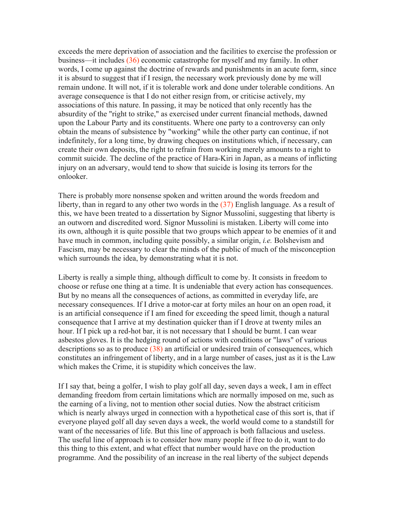exceeds the mere deprivation of association and the facilities to exercise the profession or business—it includes (36) economic catastrophe for myself and my family. In other words, I come up against the doctrine of rewards and punishments in an acute form, since it is absurd to suggest that if I resign, the necessary work previously done by me will remain undone. It will not, if it is tolerable work and done under tolerable conditions. An average consequence is that I do not either resign from, or criticise actively, my associations of this nature. In passing, it may be noticed that only recently has the absurdity of the "right to strike," as exercised under current financial methods, dawned upon the Labour Party and its constituents. Where one party to a controversy can only obtain the means of subsistence by "working" while the other party can continue, if not indefinitely, for a long time, by drawing cheques on institutions which, if necessary, can create their own deposits, the right to refrain from working merely amounts to a right to commit suicide. The decline of the practice of Hara-Kiri in Japan, as a means of inflicting injury on an adversary, would tend to show that suicide is losing its terrors for the onlooker.

There is probably more nonsense spoken and written around the words freedom and liberty, than in regard to any other two words in the (37) English language. As a result of this, we have been treated to a dissertation by Signor Mussolini, suggesting that liberty is an outworn and discredited word. Signor Mussolini is mistaken. Liberty will come into its own, although it is quite possible that two groups which appear to be enemies of it and have much in common, including quite possibly, a similar origin, *i.e.* Bolshevism and Fascism, may be necessary to clear the minds of the public of much of the misconception which surrounds the idea, by demonstrating what it is not.

Liberty is really a simple thing, although difficult to come by. It consists in freedom to choose or refuse one thing at a time. It is undeniable that every action has consequences. But by no means all the consequences of actions, as committed in everyday life, are necessary consequences. If I drive a motor-car at forty miles an hour on an open road, it is an artificial consequence if I am fined for exceeding the speed limit, though a natural consequence that I arrive at my destination quicker than if I drove at twenty miles an hour. If I pick up a red-hot bar, it is not necessary that I should be burnt. I can wear asbestos gloves. It is the hedging round of actions with conditions or "laws" of various descriptions so as to produce (38) an artificial or undesired train of consequences, which constitutes an infringement of liberty, and in a large number of cases, just as it is the Law which makes the Crime, it is stupidity which conceives the law.

If I say that, being a golfer, I wish to play golf all day, seven days a week, I am in effect demanding freedom from certain limitations which are normally imposed on me, such as the earning of a living, not to mention other social duties. Now the abstract criticism which is nearly always urged in connection with a hypothetical case of this sort is, that if everyone played golf all day seven days a week, the world would come to a standstill for want of the necessaries of life. But this line of approach is both fallacious and useless. The useful line of approach is to consider how many people if free to do it, want to do this thing to this extent, and what effect that number would have on the production programme. And the possibility of an increase in the real liberty of the subject depends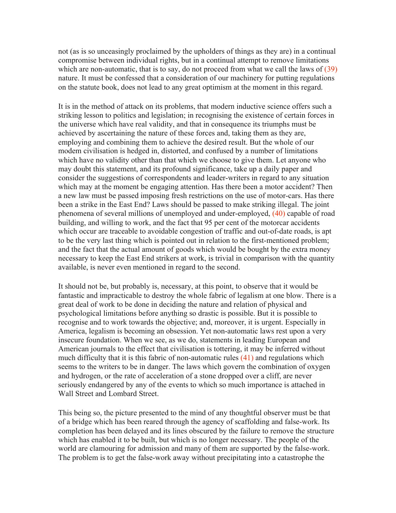not (as is so unceasingly proclaimed by the upholders of things as they are) in a continual compromise between individual rights, but in a continual attempt to remove limitations which are non-automatic, that is to say, do not proceed from what we call the laws of (39) nature. It must be confessed that a consideration of our machinery for putting regulations on the statute book, does not lead to any great optimism at the moment in this regard.

It is in the method of attack on its problems, that modern inductive science offers such a striking lesson to politics and legislation; in recognising the existence of certain forces in the universe which have real validity, and that in consequence its triumphs must be achieved by ascertaining the nature of these forces and, taking them as they are, employing and combining them to achieve the desired result. But the whole of our modem civilisation is hedged in, distorted, and confused by a number of limitations which have no validity other than that which we choose to give them. Let anyone who may doubt this statement, and its profound significance, take up a daily paper and consider the suggestions of correspondents and leader-writers in regard to any situation which may at the moment be engaging attention. Has there been a motor accident? Then a new law must be passed imposing fresh restrictions on the use of motor-cars. Has there been a strike in the East End? Laws should be passed to make striking illegal. The joint phenomena of several millions of unemployed and under-employed, (40) capable of road building, and willing to work, and the fact that 95 per cent of the motorcar accidents which occur are traceable to avoidable congestion of traffic and out-of-date roads, is apt to be the very last thing which is pointed out in relation to the first-mentioned problem; and the fact that the actual amount of goods which would be bought by the extra money necessary to keep the East End strikers at work, is trivial in comparison with the quantity available, is never even mentioned in regard to the second.

It should not be, but probably is, necessary, at this point, to observe that it would be fantastic and impracticable to destroy the whole fabric of legalism at one blow. There is a great deal of work to be done in deciding the nature and relation of physical and psychological limitations before anything so drastic is possible. But it is possible to recognise and to work towards the objective; and, moreover, it is urgent. Especially in America, legalism is becoming an obsession. Yet non-automatic laws rest upon a very insecure foundation. When we see, as we do, statements in leading European and American journals to the effect that civilisation is tottering, it may be inferred without much difficulty that it is this fabric of non-automatic rules (41) and regulations which seems to the writers to be in danger. The laws which govern the combination of oxygen and hydrogen, or the rate of acceleration of a stone dropped over a cliff, are never seriously endangered by any of the events to which so much importance is attached in Wall Street and Lombard Street.

This being so, the picture presented to the mind of any thoughtful observer must be that of a bridge which has been reared through the agency of scaffolding and false-work. Its completion has been delayed and its lines obscured by the failure to remove the structure which has enabled it to be built, but which is no longer necessary. The people of the world are clamouring for admission and many of them are supported by the false-work. The problem is to get the false-work away without precipitating into a catastrophe the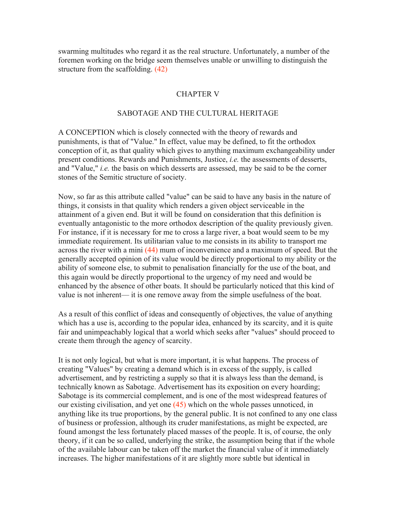swarming multitudes who regard it as the real structure. Unfortunately, a number of the foremen working on the bridge seem themselves unable or unwilling to distinguish the structure from the scaffolding. (42)

### CHAPTER V

#### SABOTAGE AND THE CULTURAL HERITAGE

A CONCEPTION which is closely connected with the theory of rewards and punishments, is that of "Value." In effect, value may be defined, to fit the orthodox conception of it, as that quality which gives to anything maximum exchangeability under present conditions. Rewards and Punishments, Justice, *i.e.* the assessments of desserts, and "Value," *i.e.* the basis on which desserts are assessed, may be said to be the corner stones of the Semitic structure of society.

Now, so far as this attribute called "value" can be said to have any basis in the nature of things, it consists in that quality which renders a given object serviceable in the attainment of a given end. But it will be found on consideration that this definition is eventually antagonistic to the more orthodox description of the quality previously given. For instance, if it is necessary for me to cross a large river, a boat would seem to be my immediate requirement. Its utilitarian value to me consists in its ability to transport me across the river with a mini (44) mum of inconvenience and a maximum of speed. But the generally accepted opinion of its value would be directly proportional to my ability or the ability of someone else, to submit to penalisation financially for the use of the boat, and this again would be directly proportional to the urgency of my need and would be enhanced by the absence of other boats. It should be particularly noticed that this kind of value is not inherent— it is one remove away from the simple usefulness of the boat.

As a result of this conflict of ideas and consequently of objectives, the value of anything which has a use is, according to the popular idea, enhanced by its scarcity, and it is quite fair and unimpeachably logical that a world which seeks after "values" should proceed to create them through the agency of scarcity.

It is not only logical, but what is more important, it is what happens. The process of creating "Values" by creating a demand which is in excess of the supply, is called advertisement, and by restricting a supply so that it is always less than the demand, is technically known as Sabotage. Advertisement has its exposition on every hoarding; Sabotage is its commercial complement, and is one of the most widespread features of our existing civilisation, and yet one (45) which on the whole passes unnoticed, in anything like its true proportions, by the general public. It is not confined to any one class of business or profession, although its cruder manifestations, as might be expected, are found amongst the less fortunately placed masses of the people. It is, of course, the only theory, if it can be so called, underlying the strike, the assumption being that if the whole of the available labour can be taken off the market the financial value of it immediately increases. The higher manifestations of it are slightly more subtle but identical in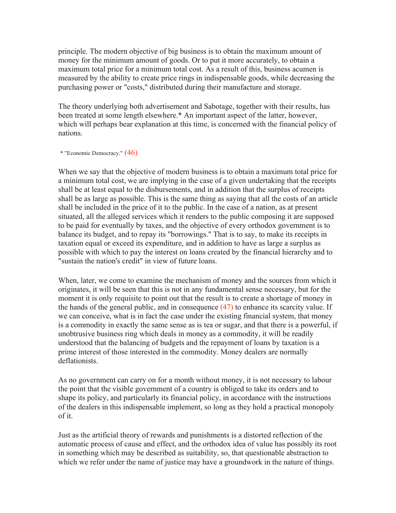principle. The modern objective of big business is to obtain the maximum amount of money for the minimum amount of goods. Or to put it more accurately, to obtain a maximum total price for a minimum total cost. As a result of this, business acumen is measured by the ability to create price rings in indispensable goods, while decreasing the purchasing power or "costs," distributed during their manufacture and storage.

The theory underlying both advertisement and Sabotage, together with their results, has been treated at some length elsewhere.\* An important aspect of the latter, however, which will perhaps bear explanation at this time, is concerned with the financial policy of nations.

\* "Economic Democracy." (46)

When we say that the objective of modern business is to obtain a maximum total price for a minimum total cost, we are implying in the case of a given undertaking that the receipts shall be at least equal to the disbursements, and in addition that the surplus of receipts shall be as large as possible. This is the same thing as saying that all the costs of an article shall be included in the price of it to the public. In the case of a nation, as at present situated, all the alleged services which it renders to the public composing it are supposed to be paid for eventually by taxes, and the objective of every orthodox government is to balance its budget, and to repay its "borrowings." That is to say, to make its receipts in taxation equal or exceed its expenditure, and in addition to have as large a surplus as possible with which to pay the interest on loans created by the financial hierarchy and to "sustain the nation's credit" in view of future loans.

When, later, we come to examine the mechanism of money and the sources from which it originates, it will be seen that this is not in any fundamental sense necessary, but for the moment it is only requisite to point out that the result is to create a shortage of money in the hands of the general public, and in consequence (47) to enhance its scarcity value. If we can conceive, what is in fact the case under the existing financial system, that money is a commodity in exactly the same sense as is tea or sugar, and that there is a powerful, if unobtrusive business ring which deals in money as a commodity, it will be readily understood that the balancing of budgets and the repayment of loans by taxation is a prime interest of those interested in the commodity. Money dealers are normally deflationists.

As no government can carry on for a month without money, it is not necessary to labour the point that the visible government of a country is obliged to take its orders and to shape its policy, and particularly its financial policy, in accordance with the instructions of the dealers in this indispensable implement, so long as they hold a practical monopoly of it.

Just as the artificial theory of rewards and punishments is a distorted reflection of the automatic process of cause and effect, and the orthodox idea of value has possibly its root in something which may be described as suitability, so, that questionable abstraction to which we refer under the name of justice may have a groundwork in the nature of things.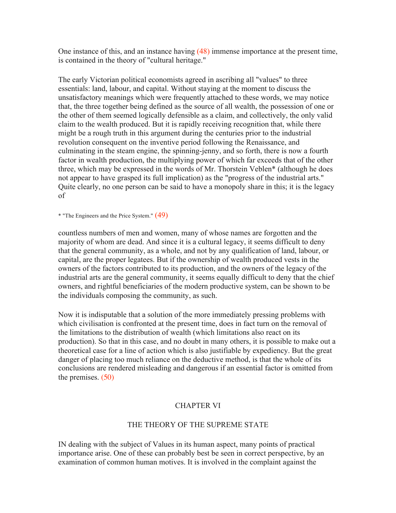One instance of this, and an instance having (48) immense importance at the present time, is contained in the theory of "cultural heritage."

The early Victorian political economists agreed in ascribing all "values" to three essentials: land, labour, and capital. Without staying at the moment to discuss the unsatisfactory meanings which were frequently attached to these words, we may notice that, the three together being defined as the source of all wealth, the possession of one or the other of them seemed logically defensible as a claim, and collectively, the only valid claim to the wealth produced. But it is rapidly receiving recognition that, while there might be a rough truth in this argument during the centuries prior to the industrial revolution consequent on the inventive period following the Renaissance, and culminating in the steam engine, the spinning-jenny, and so forth, there is now a fourth factor in wealth production, the multiplying power of which far exceeds that of the other three, which may be expressed in the words of Mr. Thorstein Veblen\* (although he does not appear to have grasped its full implication) as the "progress of the industrial arts." Quite clearly, no one person can be said to have a monopoly share in this; it is the legacy of

\* "The Engineers and the Price System." (49)

countless numbers of men and women, many of whose names are forgotten and the majority of whom are dead. And since it is a cultural legacy, it seems difficult to deny that the general community, as a whole, and not by any qualification of land, labour, or capital, are the proper legatees. But if the ownership of wealth produced vests in the owners of the factors contributed to its production, and the owners of the legacy of the industrial arts are the general community, it seems equally difficult to deny that the chief owners, and rightful beneficiaries of the modern productive system, can be shown to be the individuals composing the community, as such.

Now it is indisputable that a solution of the more immediately pressing problems with which civilisation is confronted at the present time, does in fact turn on the removal of the limitations to the distribution of wealth (which limitations also react on its production). So that in this case, and no doubt in many others, it is possible to make out a theoretical case for a line of action which is also justifiable by expediency. But the great danger of placing too much reliance on the deductive method, is that the whole of its conclusions are rendered misleading and dangerous if an essential factor is omitted from the premises. (50)

# CHAPTER VI

### THE THEORY OF THE SUPREME STATE

IN dealing with the subject of Values in its human aspect, many points of practical importance arise. One of these can probably best be seen in correct perspective, by an examination of common human motives. It is involved in the complaint against the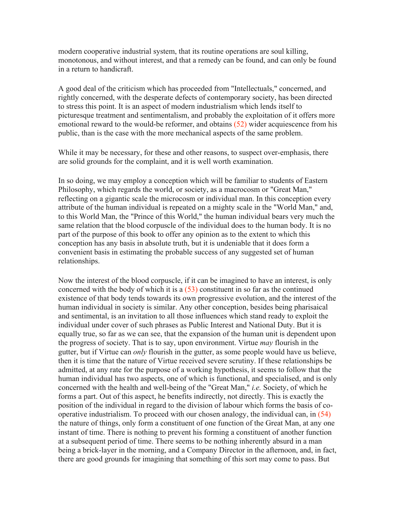modern cooperative industrial system, that its routine operations are soul killing, monotonous, and without interest, and that a remedy can be found, and can only be found in a return to handicraft.

A good deal of the criticism which has proceeded from "Intellectuals," concerned, and rightly concerned, with the desperate defects of contemporary society, has been directed to stress this point. It is an aspect of modern industrialism which lends itself to picturesque treatment and sentimentalism, and probably the exploitation of it offers more emotional reward to the would-be reformer, and obtains (52) wider acquiescence from his public, than is the case with the more mechanical aspects of the same problem.

While it may be necessary, for these and other reasons, to suspect over-emphasis, there are solid grounds for the complaint, and it is well worth examination.

In so doing, we may employ a conception which will be familiar to students of Eastern Philosophy, which regards the world, or society, as a macrocosm or "Great Man," reflecting on a gigantic scale the microcosm or individual man. In this conception every attribute of the human individual is repeated on a mighty scale in the "World Man," and, to this World Man, the "Prince of this World," the human individual bears very much the same relation that the blood corpuscle of the individual does to the human body. It is no part of the purpose of this book to offer any opinion as to the extent to which this conception has any basis in absolute truth, but it is undeniable that it does form a convenient basis in estimating the probable success of any suggested set of human relationships.

Now the interest of the blood corpuscle, if it can be imagined to have an interest, is only concerned with the body of which it is a (53) constituent in so far as the continued existence of that body tends towards its own progressive evolution, and the interest of the human individual in society is similar. Any other conception, besides being pharisaical and sentimental, is an invitation to all those influences which stand ready to exploit the individual under cover of such phrases as Public Interest and National Duty. But it is equally true, so far as we can see, that the expansion of the human unit is dependent upon the progress of society. That is to say, upon environment. Virtue *may* flourish in the gutter, but if Virtue can *only* flourish in the gutter, as some people would have us believe, then it is time that the nature of Virtue received severe scrutiny. If these relationships be admitted, at any rate for the purpose of a working hypothesis, it seems to follow that the human individual has two aspects, one of which is functional, and specialised, and is only concerned with the health and well-being of the "Great Man," *i.e.* Society, of which he forms a part. Out of this aspect, he benefits indirectly, not directly. This is exactly the position of the individual in regard to the division of labour which forms the basis of cooperative industrialism. To proceed with our chosen analogy, the individual can, in (54) the nature of things, only form a constituent of one function of the Great Man, at any one instant of time. There is nothing to prevent his forming a constituent of another function at a subsequent period of time. There seems to be nothing inherently absurd in a man being a brick-layer in the morning, and a Company Director in the afternoon, and, in fact, there are good grounds for imagining that something of this sort may come to pass. But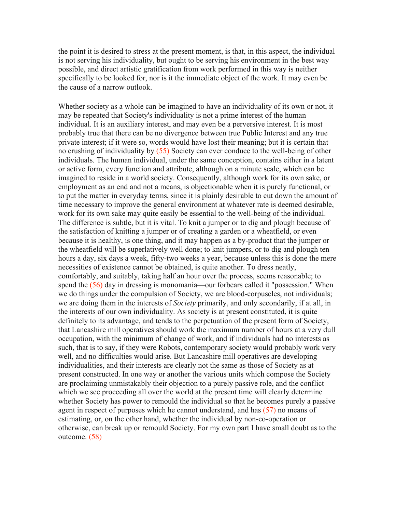the point it is desired to stress at the present moment, is that, in this aspect, the individual is not serving his individuality, but ought to be serving his environment in the best way possible, and direct artistic gratification from work performed in this way is neither specifically to be looked for, nor is it the immediate object of the work. It may even be the cause of a narrow outlook.

Whether society as a whole can be imagined to have an individuality of its own or not, it may be repeated that Society's individuality is not a prime interest of the human individual. It is an auxiliary interest, and may even be a perversive interest. It is most probably true that there can be no divergence between true Public Interest and any true private interest; if it were so, words would have lost their meaning; but it is certain that no crushing of individuality by (55) Society can ever conduce to the well-being of other individuals. The human individual, under the same conception, contains either in a latent or active form, every function and attribute, although on a minute scale, which can be imagined to reside in a world society. Consequently, although work for its own sake, or employment as an end and not a means, is objectionable when it is purely functional, or to put the matter in everyday terms, since it is plainly desirable to cut down the amount of time necessary to improve the general environment at whatever rate is deemed desirable, work for its own sake may quite easily be essential to the well-being of the individual. The difference is subtle, but it is vital. To knit a jumper or to dig and plough because of the satisfaction of knitting a jumper or of creating a garden or a wheatfield, or even because it is healthy, is one thing, and it may happen as a by-product that the jumper or the wheatfield will be superlatively well done; to knit jumpers, or to dig and plough ten hours a day, six days a week, fifty-two weeks a year, because unless this is done the mere necessities of existence cannot be obtained, is quite another. To dress neatly, comfortably, and suitably, taking half an hour over the process, seems reasonable; to spend the (56) day in dressing is monomania—our forbears called it "possession." When we do things under the compulsion of Society, we are blood-corpuscles, not individuals; we are doing them in the interests of *Society* primarily, and only secondarily, if at all, in the interests of our own individuality. As society is at present constituted, it is quite definitely to its advantage, and tends to the perpetuation of the present form of Society, that Lancashire mill operatives should work the maximum number of hours at a very dull occupation, with the minimum of change of work, and if individuals had no interests as such, that is to say, if they were Robots, contemporary society would probably work very well, and no difficulties would arise. But Lancashire mill operatives are developing individualities, and their interests are clearly not the same as those of Society as at present constructed. In one way or another the various units which compose the Society are proclaiming unmistakably their objection to a purely passive role, and the conflict which we see proceeding all over the world at the present time will clearly determine whether Society has power to remould the individual so that he becomes purely a passive agent in respect of purposes which he cannot understand, and has (57) no means of estimating, or, on the other hand, whether the individual by non-co-operation or otherwise, can break up or remould Society. For my own part I have small doubt as to the outcome. (58)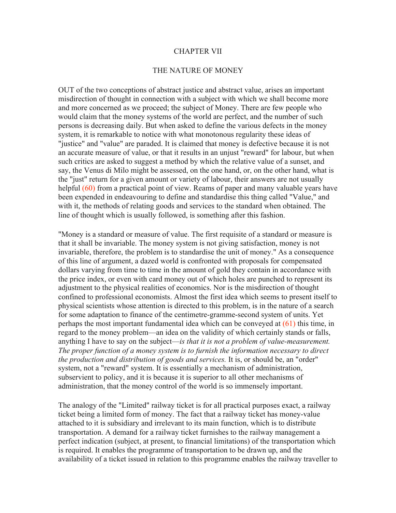### CHAPTER VII

### THE NATURE OF MONEY

OUT of the two conceptions of abstract justice and abstract value, arises an important misdirection of thought in connection with a subject with which we shall become more and more concerned as we proceed; the subject of Money. There are few people who would claim that the money systems of the world are perfect, and the number of such persons is decreasing daily. But when asked to define the various defects in the money system, it is remarkable to notice with what monotonous regularity these ideas of "justice" and "value" are paraded. It is claimed that money is defective because it is not an accurate measure of value, or that it results in an unjust "reward" for labour, but when such critics are asked to suggest a method by which the relative value of a sunset, and say, the Venus di Milo might be assessed, on the one hand, or, on the other hand, what is the "just" return for a given amount or variety of labour, their answers are not usually helpful (60) from a practical point of view. Reams of paper and many valuable years have been expended in endeavouring to define and standardise this thing called "Value," and with it, the methods of relating goods and services to the standard when obtained. The line of thought which is usually followed, is something after this fashion.

"Money is a standard or measure of value. The first requisite of a standard or measure is that it shall be invariable. The money system is not giving satisfaction, money is not invariable, therefore, the problem is to standardise the unit of money." As a consequence of this line of argument, a dazed world is confronted with proposals for compensated dollars varying from time to time in the amount of gold they contain in accordance with the price index, or even with card money out of which holes are punched to represent its adjustment to the physical realities of economics. Nor is the misdirection of thought confined to professional economists. Almost the first idea which seems to present itself to physical scientists whose attention is directed to this problem, is in the nature of a search for some adaptation to finance of the centimetre-gramme-second system of units. Yet perhaps the most important fundamental idea which can be conveyed at (61) this time, in regard to the money problem—an idea on the validity of which certainly stands or falls, anything I have to say on the subject—*is that it is not a problem of value-measurement. The proper function of a money system is to furnish the information necessary to direct the production and distribution of goods and services.* It is, or should be, an "order" system, not a "reward" system. It is essentially a mechanism of administration, subservient to policy, and it is because it is superior to all other mechanisms of administration, that the money control of the world is so immensely important.

The analogy of the "Limited" railway ticket is for all practical purposes exact, a railway ticket being a limited form of money. The fact that a railway ticket has money-value attached to it is subsidiary and irrelevant to its main function, which is to distribute transportation. A demand for a railway ticket furnishes to the railway management a perfect indication (subject, at present, to financial limitations) of the transportation which is required. It enables the programme of transportation to be drawn up, and the availability of a ticket issued in relation to this programme enables the railway traveller to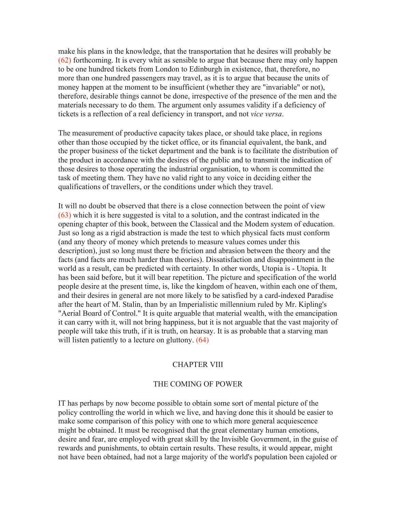make his plans in the knowledge, that the transportation that he desires will probably be (62) forthcoming. It is every whit as sensible to argue that because there may only happen to be one hundred tickets from London to Edinburgh in existence, that, therefore, no more than one hundred passengers may travel, as it is to argue that because the units of money happen at the moment to be insufficient (whether they are "invariable" or not), therefore, desirable things cannot be done, irrespective of the presence of the men and the materials necessary to do them. The argument only assumes validity if a deficiency of tickets is a reflection of a real deficiency in transport, and not *vice versa*.

The measurement of productive capacity takes place, or should take place, in regions other than those occupied by the ticket office, or its financial equivalent, the bank, and the proper business of the ticket department and the bank is to facilitate the distribution of the product in accordance with the desires of the public and to transmit the indication of those desires to those operating the industrial organisation, to whom is committed the task of meeting them. They have no valid right to any voice in deciding either the qualifications of travellers, or the conditions under which they travel.

It will no doubt be observed that there is a close connection between the point of view (63) which it is here suggested is vital to a solution, and the contrast indicated in the opening chapter of this book, between the Classical and the Modem system of education. Just so long as a rigid abstraction is made the test to which physical facts must conform (and any theory of money which pretends to measure values comes under this description), just so long must there be friction and abrasion between the theory and the facts (and facts are much harder than theories). Dissatisfaction and disappointment in the world as a result, can be predicted with certainty. In other words, Utopia is - Utopia. It has been said before, but it will bear repetition. The picture and specification of the world people desire at the present time, is, like the kingdom of heaven, within each one of them, and their desires in general are not more likely to be satisfied by a card-indexed Paradise after the heart of M. Stalin, than by an Imperialistic millennium ruled by Mr. Kipling's "Aerial Board of Control." It is quite arguable that material wealth, with the emancipation it can carry with it, will not bring happiness, but it is not arguable that the vast majority of people will take this truth, if it is truth, on hearsay. It is as probable that a starving man will listen patiently to a lecture on gluttony.  $(64)$ 

# CHAPTER VIII

### THE COMING OF POWER

IT has perhaps by now become possible to obtain some sort of mental picture of the policy controlling the world in which we live, and having done this it should be easier to make some comparison of this policy with one to which more general acquiescence might be obtained. It must be recognised that the great elementary human emotions, desire and fear, are employed with great skill by the Invisible Government, in the guise of rewards and punishments, to obtain certain results. These results, it would appear, might not have been obtained, had not a large majority of the world's population been cajoled or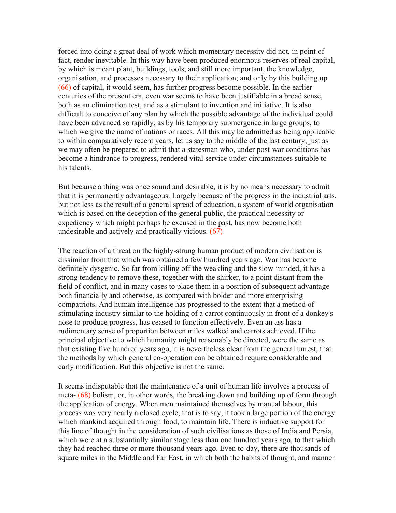forced into doing a great deal of work which momentary necessity did not, in point of fact, render inevitable. In this way have been produced enormous reserves of real capital, by which is meant plant, buildings, tools, and still more important, the knowledge, organisation, and processes necessary to their application; and only by this building up (66) of capital, it would seem, has further progress become possible. In the earlier centuries of the present era, even war seems to have been justifiable in a broad sense, both as an elimination test, and as a stimulant to invention and initiative. It is also difficult to conceive of any plan by which the possible advantage of the individual could have been advanced so rapidly, as by his temporary submergence in large groups, to which we give the name of nations or races. All this may be admitted as being applicable to within comparatively recent years, let us say to the middle of the last century, just as we may often be prepared to admit that a statesman who, under post-war conditions has become a hindrance to progress, rendered vital service under circumstances suitable to his talents.

But because a thing was once sound and desirable, it is by no means necessary to admit that it is permanently advantageous. Largely because of the progress in the industrial arts, but not less as the result of a general spread of education, a system of world organisation which is based on the deception of the general public, the practical necessity or expediency which might perhaps be excused in the past, has now become both undesirable and actively and practically vicious. (67)

The reaction of a threat on the highly-strung human product of modern civilisation is dissimilar from that which was obtained a few hundred years ago. War has become definitely dysgenic. So far from killing off the weakling and the slow-minded, it has a strong tendency to remove these, together with the shirker, to a point distant from the field of conflict, and in many cases to place them in a position of subsequent advantage both financially and otherwise, as compared with bolder and more enterprising compatriots. And human intelligence has progressed to the extent that a method of stimulating industry similar to the holding of a carrot continuously in front of a donkey's nose to produce progress, has ceased to function effectively. Even an ass has a rudimentary sense of proportion between miles walked and carrots achieved. If the principal objective to which humanity might reasonably be directed, were the same as that existing five hundred years ago, it is nevertheless clear from the general unrest, that the methods by which general co-operation can be obtained require considerable and early modification. But this objective is not the same.

It seems indisputable that the maintenance of a unit of human life involves a process of meta- (68) bolism, or, in other words, the breaking down and building up of form through the application of energy. When men maintained themselves by manual labour, this process was very nearly a closed cycle, that is to say, it took a large portion of the energy which mankind acquired through food, to maintain life. There is inductive support for this line of thought in the consideration of such civilisations as those of India and Persia, which were at a substantially similar stage less than one hundred years ago, to that which they had reached three or more thousand years ago. Even to-day, there are thousands of square miles in the Middle and Far East, in which both the habits of thought, and manner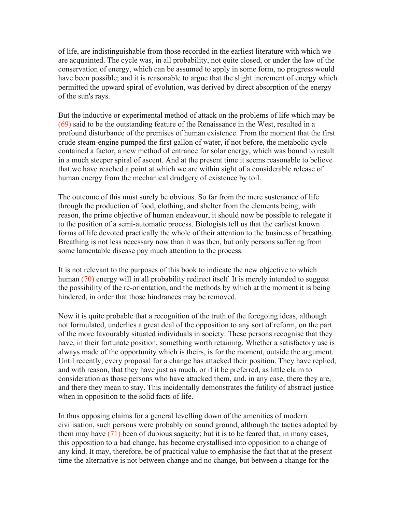of life, are indistinguishable from those recorded in the earliest literature with which we are acquainted. The cycle was, in all probability, not quite closed, or under the law of the conservation of energy, which can be assumed to apply in some form, no progress would have been possible; and it is reasonable to argue that the slight increment of energy which permitted the upward spiral of evolution, was derived by direct absorption of the energy of the sun's rays.

But the inductive or experimental method of attack on the problems of life which may be (69) said to be the outstanding feature of the Renaissance in the West, resulted in a profound disturbance of the premises of human existence. From the moment that the first crude steam-engine pumped the first gallon of water, if not before, the metabolic cycle contained a factor, a new method of entrance for solar energy, which was bound to result in a much steeper spiral of ascent. And at the present time it seems reasonable to believe that we have reached a point at which we are within sight of a considerable release of human energy from the mechanical drudgery of existence by toil.

The outcome of this must surely be obvious. So far from the mere sustenance of life through the production of food, clothing, and shelter from the elements being, with reason, the prime objective of human endeavour, it should now be possible to relegate it to the position of a semi-automatic process. Biologists tell us that the earliest known forms of life devoted practically the whole of their attention to the business of breathing. Breathing is not less necessary now than it was then, but only persons suffering from some lamentable disease pay much attention to the process.

It is not relevant to the purposes of this book to indicate the new objective to which human (70) energy will in all probability redirect itself. It is merely intended to suggest the possibility of the re-orientation, and the methods by which at the moment it is being hindered, in order that those hindrances may be removed.

Now it is quite probable that a recognition of the truth of the foregoing ideas, although not formulated, underlies a great deal of the opposition to any sort of reform, on the part of the more favourably situated individuals in society. These persons recognise that they have, in their fortunate position, something worth retaining. Whether a satisfactory use is always made of the opportunity which is theirs, is for the moment, outside the argument. Until recently, every proposal for a change has attacked their position. They have replied, and with reason, that they have just as much, or if it be preferred, as little claim to consideration as those persons who have attacked them, and, in any case, there they are, and there they mean to stay. This incidentally demonstrates the futility of abstract justice when in opposition to the solid facts of life.

In thus opposing claims for a general levelling down of the amenities of modern civilisation, such persons were probably on sound ground, although the tactics adopted by them may have (71) been of dubious sagacity; but it is to be feared that, in many cases, this opposition to a bad change, has become crystallised into opposition to a change of any kind. It may, therefore, be of practical value to emphasise the fact that at the present time the alternative is not between change and no change, but between a change for the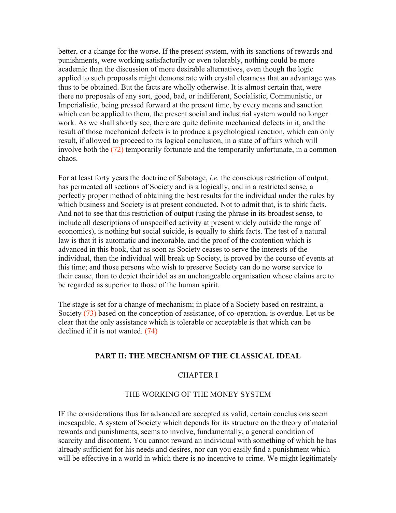better, or a change for the worse. If the present system, with its sanctions of rewards and punishments, were working satisfactorily or even tolerably, nothing could be more academic than the discussion of more desirable alternatives, even though the logic applied to such proposals might demonstrate with crystal clearness that an advantage was thus to be obtained. But the facts are wholly otherwise. It is almost certain that, were there no proposals of any sort, good, bad, or indifferent, Socialistic, Communistic, or Imperialistic, being pressed forward at the present time, by every means and sanction which can be applied to them, the present social and industrial system would no longer work. As we shall shortly see, there are quite definite mechanical defects in it, and the result of those mechanical defects is to produce a psychological reaction, which can only result, if allowed to proceed to its logical conclusion, in a state of affairs which will involve both the (72) temporarily fortunate and the temporarily unfortunate, in a common chaos.

For at least forty years the doctrine of Sabotage, *i.e.* the conscious restriction of output, has permeated all sections of Society and is a logically, and in a restricted sense, a perfectly proper method of obtaining the best results for the individual under the rules by which business and Society is at present conducted. Not to admit that, is to shirk facts. And not to see that this restriction of output (using the phrase in its broadest sense, to include all descriptions of unspecified activity at present widely outside the range of economics), is nothing but social suicide, is equally to shirk facts. The test of a natural law is that it is automatic and inexorable, and the proof of the contention which is advanced in this book, that as soon as Society ceases to serve the interests of the individual, then the individual will break up Society, is proved by the course of events at this time; and those persons who wish to preserve Society can do no worse service to their cause, than to depict their idol as an unchangeable organisation whose claims are to be regarded as superior to those of the human spirit.

The stage is set for a change of mechanism; in place of a Society based on restraint, a Society (73) based on the conception of assistance, of co-operation, is overdue. Let us be clear that the only assistance which is tolerable or acceptable is that which can be declined if it is not wanted. (74)

### **PART II: THE MECHANISM OF THE CLASSICAL IDEAL**

### CHAPTER I

#### THE WORKING OF THE MONEY SYSTEM

IF the considerations thus far advanced are accepted as valid, certain conclusions seem inescapable. A system of Society which depends for its structure on the theory of material rewards and punishments, seems to involve, fundamentally, a general condition of scarcity and discontent. You cannot reward an individual with something of which he has already sufficient for his needs and desires, nor can you easily find a punishment which will be effective in a world in which there is no incentive to crime. We might legitimately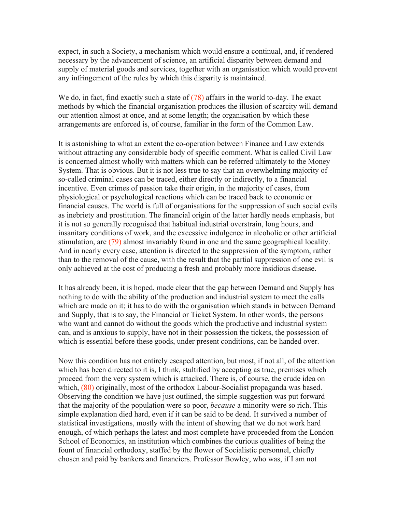expect, in such a Society, a mechanism which would ensure a continual, and, if rendered necessary by the advancement of science, an artificial disparity between demand and supply of material goods and services, together with an organisation which would prevent any infringement of the rules by which this disparity is maintained.

We do, in fact, find exactly such a state of  $(78)$  affairs in the world to-day. The exact methods by which the financial organisation produces the illusion of scarcity will demand our attention almost at once, and at some length; the organisation by which these arrangements are enforced is, of course, familiar in the form of the Common Law.

It is astonishing to what an extent the co-operation between Finance and Law extends without attracting any considerable body of specific comment. What is called Civil Law is concerned almost wholly with matters which can be referred ultimately to the Money System. That is obvious. But it is not less true to say that an overwhelming majority of so-called criminal cases can be traced, either directly or indirectly, to a financial incentive. Even crimes of passion take their origin, in the majority of cases, from physiological or psychological reactions which can be traced back to economic or financial causes. The world is full of organisations for the suppression of such social evils as inebriety and prostitution. The financial origin of the latter hardly needs emphasis, but it is not so generally recognised that habitual industrial overstrain, long hours, and insanitary conditions of work, and the excessive indulgence in alcoholic or other artificial stimulation, are (79) almost invariably found in one and the same geographical locality. And in nearly every case, attention is directed to the suppression of the symptom, rather than to the removal of the cause, with the result that the partial suppression of one evil is only achieved at the cost of producing a fresh and probably more insidious disease.

It has already been, it is hoped, made clear that the gap between Demand and Supply has nothing to do with the ability of the production and industrial system to meet the calls which are made on it; it has to do with the organisation which stands in between Demand and Supply, that is to say, the Financial or Ticket System. In other words, the persons who want and cannot do without the goods which the productive and industrial system can, and is anxious to supply, have not in their possession the tickets, the possession of which is essential before these goods, under present conditions, can be handed over.

Now this condition has not entirely escaped attention, but most, if not all, of the attention which has been directed to it is, I think, stultified by accepting as true, premises which proceed from the very system which is attacked. There is, of course, the crude idea on which,  $(80)$  originally, most of the orthodox Labour-Socialist propaganda was based. Observing the condition we have just outlined, the simple suggestion was put forward that the majority of the population were so poor, *because* a minority were so rich. This simple explanation died hard, even if it can be said to be dead. It survived a number of statistical investigations, mostly with the intent of showing that we do not work hard enough, of which perhaps the latest and most complete have proceeded from the London School of Economics, an institution which combines the curious qualities of being the fount of financial orthodoxy, staffed by the flower of Socialistic personnel, chiefly chosen and paid by bankers and financiers. Professor Bowley, who was, if I am not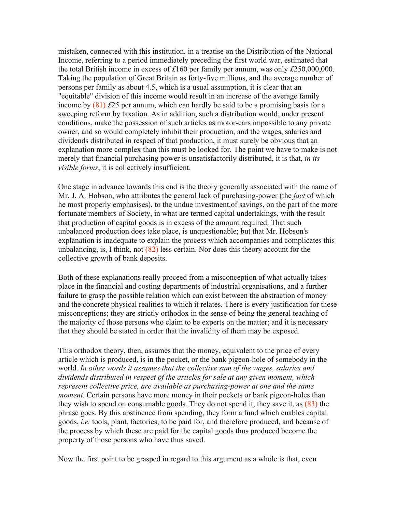mistaken, connected with this institution, in a treatise on the Distribution of the National Income, referring to a period immediately preceding the first world war, estimated that the total British income in excess of *£*160 per family per annum, was only *£*250,000,000. Taking the population of Great Britain as forty-five millions, and the average number of persons per family as about 4.5, which is a usual assumption, it is clear that an "equitable" division of this income would result in an increase of the average family income by  $(81)$  £25 per annum, which can hardly be said to be a promising basis for a sweeping reform by taxation. As in addition, such a distribution would, under present conditions, make the possession of such articles as motor-cars impossible to any private owner, and so would completely inhibit their production, and the wages, salaries and dividends distributed in respect of that production, it must surely be obvious that an explanation more complex than this must be looked for. The point we have to make is not merely that financial purchasing power is unsatisfactorily distributed, it is that, *in its visible forms*, it is collectively insufficient.

One stage in advance towards this end is the theory generally associated with the name of Mr. J. A. Hobson, who attributes the general lack of purchasing-power (the *fact* of which he most properly emphasises), to the undue investment,of savings, on the part of the more fortunate members of Society, in what are termed capital undertakings, with the result that production of capital goods is in excess of the amount required. That such unbalanced production does take place, is unquestionable; but that Mr. Hobson's explanation is inadequate to explain the process which accompanies and complicates this unbalancing, is, I think, not (82) less certain. Nor does this theory account for the collective growth of bank deposits.

Both of these explanations really proceed from a misconception of what actually takes place in the financial and costing departments of industrial organisations, and a further failure to grasp the possible relation which can exist between the abstraction of money and the concrete physical realities to which it relates. There is every justification for these misconceptions; they are strictly orthodox in the sense of being the general teaching of the majority of those persons who claim to be experts on the matter; and it is necessary that they should be stated in order that the invalidity of them may be exposed.

This orthodox theory, then, assumes that the money, equivalent to the price of every article which is produced, is in the pocket, or the bank pigeon-hole of somebody in the world. *In other words it assumes that the collective sum of the wages, salaries and dividends distributed in respect of the articles for sale at any given moment, which represent collective price, are available as purchasing-power at one and the same moment.* Certain persons have more money in their pockets or bank pigeon-holes than they wish to spend on consumable goods. They do not spend it, they save it, as (83) the phrase goes. By this abstinence from spending, they form a fund which enables capital goods, *i.e.* tools, plant, factories, to be paid for, and therefore produced, and because of the process by which these are paid for the capital goods thus produced become the property of those persons who have thus saved.

Now the first point to be grasped in regard to this argument as a whole is that, even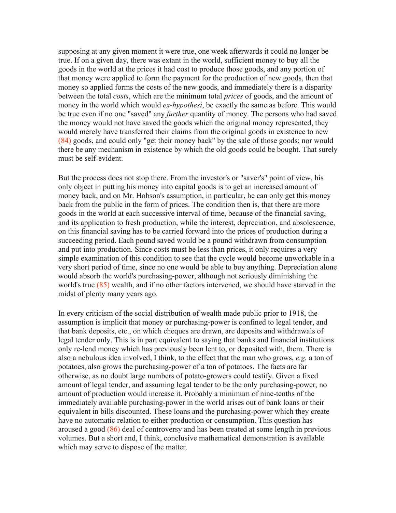supposing at any given moment it were true, one week afterwards it could no longer be true. If on a given day, there was extant in the world, sufficient money to buy all the goods in the world at the prices it had cost to produce those goods, and any portion of that money were applied to form the payment for the production of new goods, then that money so applied forms the costs of the new goods, and immediately there is a disparity between the total *costs*, which are the minimum total *prices* of goods, and the amount of money in the world which would *ex-hypothesi*, be exactly the same as before. This would be true even if no one "saved" any *further* quantity of money. The persons who had saved the money would not have saved the goods which the original money represented, they would merely have transferred their claims from the original goods in existence to new (84) goods, and could only "get their money back" by the sale of those goods; nor would there be any mechanism in existence by which the old goods could be bought. That surely must be self-evident.

But the process does not stop there. From the investor's or "saver's" point of view, his only object in putting his money into capital goods is to get an increased amount of money back, and on Mr. Hobson's assumption, in particular, he can only get this money back from the public in the form of prices. The condition then is, that there are more goods in the world at each successive interval of time, because of the financial saving, and its application to fresh production, while the interest, depreciation, and absolescence, on this financial saving has to be carried forward into the prices of production during a succeeding period. Each pound saved would be a pound withdrawn from consumption and put into production. Since costs must be less than prices, it only requires a very simple examination of this condition to see that the cycle would become unworkable in a very short period of time, since no one would be able to buy anything. Depreciation alone would absorb the world's purchasing-power, although not seriously diminishing the world's true (85) wealth, and if no other factors intervened, we should have starved in the midst of plenty many years ago.

In every criticism of the social distribution of wealth made public prior to 1918, the assumption is implicit that money or purchasing-power is confined to legal tender, and that bank deposits, etc., on which cheques are drawn, are deposits and withdrawals of legal tender only. This is in part equivalent to saying that banks and financial institutions only re-lend money which has previously been lent to, or deposited with, them. There is also a nebulous idea involved, I think, to the effect that the man who grows, *e.g.* a ton of potatoes, also grows the purchasing-power of a ton of potatoes. The facts are far otherwise, as no doubt large numbers of potato-growers could testify. Given a fixed amount of legal tender, and assuming legal tender to be the only purchasing-power, no amount of production would increase it. Probably a minimum of nine-tenths of the immediately available purchasing-power in the world arises out of bank loans or their equivalent in bills discounted. These loans and the purchasing-power which they create have no automatic relation to either production or consumption. This question has aroused a good (86) deal of controversy and has been treated at some length in previous volumes. But a short and, I think, conclusive mathematical demonstration is available which may serve to dispose of the matter.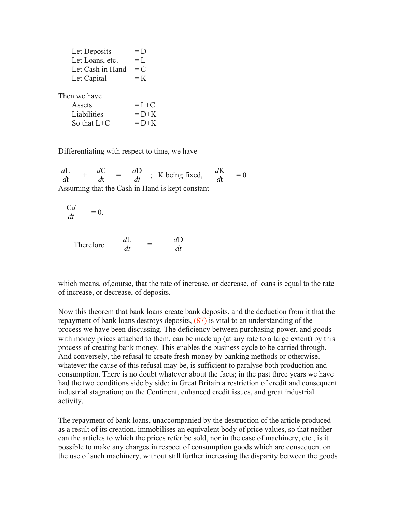| $= D$              |
|--------------------|
| $=$ $\overline{L}$ |
| $= C$              |
| $=$ K              |
|                    |

Then we have

| Assets        | $= L + C$ |
|---------------|-----------|
| Liabilities   | $= D+K$   |
| So that $L+C$ | $= D+K$   |

Differentiating with respect to time, we have--

*d*L  $\frac{dL}{dt}$  +  $\frac{dC}{dt}$  =  $\frac{dD}{dt}$ ; K being fixed,  $\frac{dK}{dt}$  = 0 Assuming that the Cash in Hand is kept constant

$$
\frac{Cd}{dt} = 0.
$$
\nTherefore

\n
$$
\frac{dL}{dt} = \frac{dD}{dt}
$$

which means, of,course, that the rate of increase, or decrease, of loans is equal to the rate of increase, or decrease, of deposits.

Now this theorem that bank loans create bank deposits, and the deduction from it that the repayment of bank loans destroys deposits, (87) is vital to an understanding of the process we have been discussing. The deficiency between purchasing-power, and goods with money prices attached to them, can be made up (at any rate to a large extent) by this process of creating bank money. This enables the business cycle to be carried through. And conversely, the refusal to create fresh money by banking methods or otherwise, whatever the cause of this refusal may be, is sufficient to paralyse both production and consumption. There is no doubt whatever about the facts; in the past three years we have had the two conditions side by side; in Great Britain a restriction of credit and consequent industrial stagnation; on the Continent, enhanced credit issues, and great industrial activity.

The repayment of bank loans, unaccompanied by the destruction of the article produced as a result of its creation, immobilises an equivalent body of price values, so that neither can the articles to which the prices refer be sold, nor in the case of machinery, etc., is it possible to make any charges in respect of consumption goods which are consequent on the use of such machinery, without still further increasing the disparity between the goods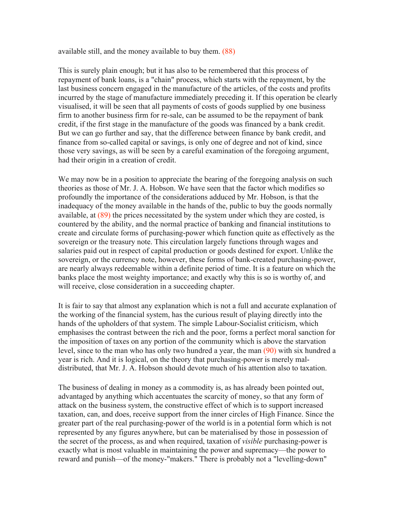available still, and the money available to buy them. (88)

This is surely plain enough; but it has also to be remembered that this process of repayment of bank loans, is a "chain" process, which starts with the repayment, by the last business concern engaged in the manufacture of the articles, of the costs and profits incurred by the stage of manufacture immediately preceding it. If this operation be clearly visualised, it will be seen that all payments of costs of goods supplied by one business firm to another business firm for re-sale, can be assumed to be the repayment of bank credit, if the first stage in the manufacture of the goods was financed by a bank credit. But we can go further and say, that the difference between finance by bank credit, and finance from so-called capital or savings, is only one of degree and not of kind, since those very savings, as will be seen by a careful examination of the foregoing argument, had their origin in a creation of credit.

We may now be in a position to appreciate the bearing of the foregoing analysis on such theories as those of Mr. J. A. Hobson. We have seen that the factor which modifies so profoundly the importance of the considerations adduced by Mr. Hobson, is that the inadequacy of the money available in the hands of the, public to buy the goods normally available, at (89) the prices necessitated by the system under which they are costed, is countered by the ability, and the normal practice of banking and financial institutions to create and circulate forms of purchasing-power which function quite as effectively as the sovereign or the treasury note. This circulation largely functions through wages and salaries paid out in respect of capital production or goods destined for export. Unlike the sovereign, or the currency note, however, these forms of bank-created purchasing-power, are nearly always redeemable within a definite period of time. It is a feature on which the banks place the most weighty importance; and exactly why this is so is worthy of, and will receive, close consideration in a succeeding chapter.

It is fair to say that almost any explanation which is not a full and accurate explanation of the working of the financial system, has the curious result of playing directly into the hands of the upholders of that system. The simple Labour-Socialist criticism, which emphasises the contrast between the rich and the poor, forms a perfect moral sanction for the imposition of taxes on any portion of the community which is above the starvation level, since to the man who has only two hundred a year, the man (90) with six hundred a year is rich. And it is logical, on the theory that purchasing-power is merely maldistributed, that Mr. J. A. Hobson should devote much of his attention also to taxation.

The business of dealing in money as a commodity is, as has already been pointed out, advantaged by anything which accentuates the scarcity of money, so that any form of attack on the business system, the constructive effect of which is to support increased taxation, can, and does, receive support from the inner circles of High Finance. Since the greater part of the real purchasing-power of the world is in a potential form which is not represented by any figures anywhere, but can be materialised by those in possession of the secret of the process, as and when required, taxation of *visible* purchasing-power is exactly what is most valuable in maintaining the power and supremacy—the power to reward and punish—of the money-"makers." There is probably not a "levelling-down"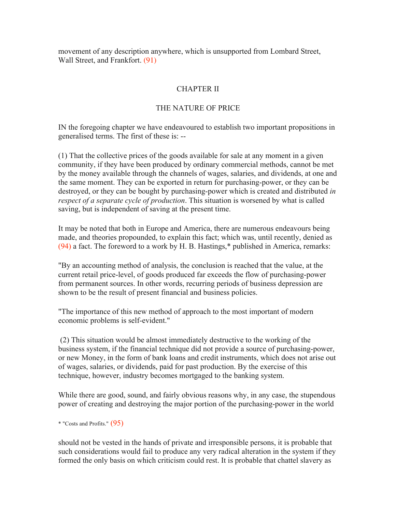movement of any description anywhere, which is unsupported from Lombard Street, Wall Street, and Frankfort. (91)

# CHAPTER II

# THE NATURE OF PRICE

IN the foregoing chapter we have endeavoured to establish two important propositions in generalised terms. The first of these is: --

(1) That the collective prices of the goods available for sale at any moment in a given community, if they have been produced by ordinary commercial methods, cannot be met by the money available through the channels of wages, salaries, and dividends, at one and the same moment. They can be exported in return for purchasing-power, or they can be destroyed, or they can be bought by purchasing-power which is created and distributed *in respect of a separate cycle of production*. This situation is worsened by what is called saving, but is independent of saving at the present time.

It may be noted that both in Europe and America, there are numerous endeavours being made, and theories propounded, to explain this fact; which was, until recently, denied as (94) a fact. The foreword to a work by H. B. Hastings,\* published in America, remarks:

"By an accounting method of analysis, the conclusion is reached that the value, at the current retail price-level, of goods produced far exceeds the flow of purchasing-power from permanent sources. In other words, recurring periods of business depression are shown to be the result of present financial and business policies.

"The importance of this new method of approach to the most important of modern economic problems is self-evident."

 (2) This situation would be almost immediately destructive to the working of the business system, if the financial technique did not provide a source of purchasing-power, or new Money, in the form of bank loans and credit instruments, which does not arise out of wages, salaries, or dividends, paid for past production. By the exercise of this technique, however, industry becomes mortgaged to the banking system.

While there are good, sound, and fairly obvious reasons why, in any case, the stupendous power of creating and destroying the major portion of the purchasing-power in the world

\* "Costs and Profits." (95)

should not be vested in the hands of private and irresponsible persons, it is probable that such considerations would fail to produce any very radical alteration in the system if they formed the only basis on which criticism could rest. It is probable that chattel slavery as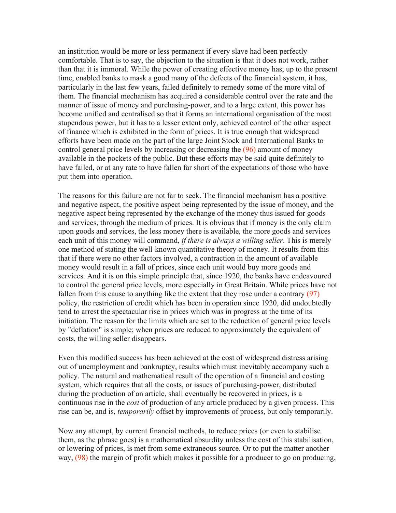an institution would be more or less permanent if every slave had been perfectly comfortable. That is to say, the objection to the situation is that it does not work, rather than that it is immoral. While the power of creating effective money has, up to the present time, enabled banks to mask a good many of the defects of the financial system, it has, particularly in the last few years, failed definitely to remedy some of the more vital of them. The financial mechanism has acquired a considerable control over the rate and the manner of issue of money and purchasing-power, and to a large extent, this power has become unified and centralised so that it forms an international organisation of the most stupendous power, but it has to a lesser extent only, achieved control of the other aspect of finance which is exhibited in the form of prices. It is true enough that widespread efforts have been made on the part of the large Joint Stock and International Banks to control general price levels by increasing or decreasing the (96) amount of money available in the pockets of the public. But these efforts may be said quite definitely to have failed, or at any rate to have fallen far short of the expectations of those who have put them into operation.

The reasons for this failure are not far to seek. The financial mechanism has a positive and negative aspect, the positive aspect being represented by the issue of money, and the negative aspect being represented by the exchange of the money thus issued for goods and services, through the medium of prices. It is obvious that if money is the only claim upon goods and services, the less money there is available, the more goods and services each unit of this money will command, *if there is always a willing seller*. This is merely one method of stating the well-known quantitative theory of money. It results from this that if there were no other factors involved, a contraction in the amount of available money would result in a fall of prices, since each unit would buy more goods and services. And it is on this simple principle that, since 1920, the banks have endeavoured to control the general price levels, more especially in Great Britain. While prices have not fallen from this cause to anything like the extent that they rose under a contrary (97) policy, the restriction of credit which has been in operation since 1920, did undoubtedly tend to arrest the spectacular rise in prices which was in progress at the time of its initiation. The reason for the limits which are set to the reduction of general price levels by "deflation" is simple; when prices are reduced to approximately the equivalent of costs, the willing seller disappears.

Even this modified success has been achieved at the cost of widespread distress arising out of unemployment and bankruptcy, results which must inevitably accompany such a policy. The natural and mathematical result of the operation of a financial and costing system, which requires that all the costs, or issues of purchasing-power, distributed during the production of an article, shall eventually be recovered in prices, is a continuous rise in the *cost* of production of any article produced by a given process. This rise can be, and is, *temporarily* offset by improvements of process, but only temporarily.

Now any attempt, by current financial methods, to reduce prices (or even to stabilise them, as the phrase goes) is a mathematical absurdity unless the cost of this stabilisation, or lowering of prices, is met from some extraneous source. Or to put the matter another way, (98) the margin of profit which makes it possible for a producer to go on producing,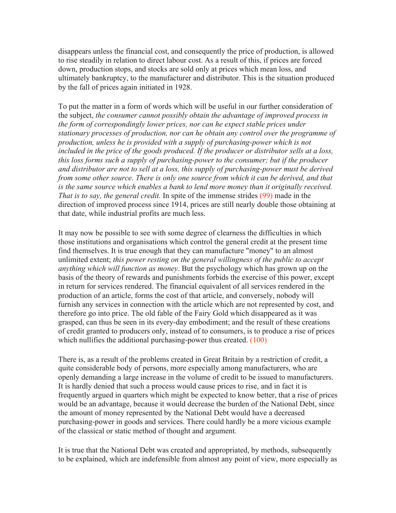disappears unless the financial cost, and consequently the price of production, is allowed to rise steadily in relation to direct labour cost. As a result of this, if prices are forced down, production stops, and stocks are sold only at prices which mean loss, and ultimately bankruptcy, to the manufacturer and distributor. This is the situation produced by the fall of prices again initiated in 1928.

To put the matter in a form of words which will be useful in our further consideration of the subject, *the consumer cannot possibly obtain the advantage of improved process in the form of correspondingly lower prices, nor can he expect stable prices under stationary processes of production, nor can he obtain any control over the programme of production, unless he is provided with a supply of purchasing-power which is not included in the price of the goods produced. If the producer or distributor sells at a loss, this loss forms such a supply of purchasing-power to the consumer; but if the producer and distributor are not to sell at a loss, this supply of purchasing-power must be derived from some other source. There is only one source from which it can be derived, and that is the same source which enables a bank to lend more money than it originally received. That is to say, the general credit.* In spite of the immense strides (99) made in the direction of improved process since 1914, prices are still nearly double those obtaining at that date, while industrial profits are much less.

It may now be possible to see with some degree of clearness the difficulties in which those institutions and organisations which control the general credit at the present time find themselves. It is true enough that they can manufacture "money" to an almost unlimited extent; *this power resting on the general willingness of the public to accept anything which will function as money*. But the psychology which has grown up on the basis of the theory of rewards and punishments forbids the exercise of this power, except in return for services rendered. The financial equivalent of all services rendered in the production of an article, forms the cost of that article, and conversely, nobody will furnish any services in connection with the article which are not represented by cost, and therefore go into price. The old fable of the Fairy Gold which disappeared as it was grasped, can thus be seen in its every-day embodiment; and the result of these creations of credit granted to producers only, instead of to consumers, is to produce a rise of prices which nullifies the additional purchasing-power thus created. (100)

There is, as a result of the problems created in Great Britain by a restriction of credit, a quite considerable body of persons, more especially among manufacturers, who are openly demanding a large increase in the volume of credit to be issued to manufacturers. It is hardly denied that such a process would cause prices to rise, and in fact it is frequently argued in quarters which might be expected to know better, that a rise of prices would be an advantage, because it would decrease the burden of the National Debt, since the amount of money represented by the National Debt would have a decreased purchasing-power in goods and services. There could hardly be a more vicious example of the classical or static method of thought and argument.

It is true that the National Debt was created and appropriated, by methods, subsequently to be explained, which are indefensible from almost any point of view, more especially as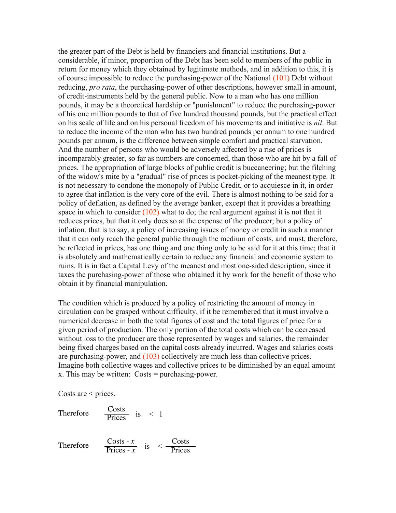the greater part of the Debt is held by financiers and financial institutions. But a considerable, if minor, proportion of the Debt has been sold to members of the public in return for money which they obtained by legitimate methods, and in addition to this, it is of course impossible to reduce the purchasing-power of the National (101) Debt without reducing, *pro rata*, the purchasing-power of other descriptions, however small in amount, of credit-instruments held by the general public. Now to a man who has one million pounds, it may be a theoretical hardship or "punishment" to reduce the purchasing-power of his one million pounds to that of five hundred thousand pounds, but the practical effect on his scale of life and on his personal freedom of his movements and initiative is *nil*. But to reduce the income of the man who has two hundred pounds per annum to one hundred pounds per annum, is the difference between simple comfort and practical starvation. And the number of persons who would be adversely affected by a rise of prices is incomparably greater, so far as numbers are concerned, than those who are hit by a fall of prices. The appropriation of large blocks of public credit is buccaneering; but the filching of the widow's mite by a "gradual" rise of prices is pocket-picking of the meanest type. It is not necessary to condone the monopoly of Public Credit, or to acquiesce in it, in order to agree that inflation is the very core of the evil. There is almost nothing to be said for a policy of deflation, as defined by the average banker, except that it provides a breathing space in which to consider  $(102)$  what to do; the real argument against it is not that it reduces prices, but that it only does so at the expense of the producer; but a policy of inflation, that is to say, a policy of increasing issues of money or credit in such a manner that it can only reach the general public through the medium of costs, and must, therefore, be reflected in prices, has one thing and one thing only to be said for it at this time; that it is absolutely and mathematically certain to reduce any financial and economic system to ruins. It is in fact a Capital Levy of the meanest and most one-sided description, since it taxes the purchasing-power of those who obtained it by work for the benefit of those who obtain it by financial manipulation.

The condition which is produced by a policy of restricting the amount of money in circulation can be grasped without difficulty, if it be remembered that it must involve a numerical decrease in both the total figures of cost and the total figures of price for a given period of production. The only portion of the total costs which can be decreased without loss to the producer are those represented by wages and salaries, the remainder being fixed charges based on the capital costs already incurred. Wages and salaries costs are purchasing-power, and (103) collectively are much less than collective prices. Imagine both collective wages and collective prices to be diminished by an equal amount  $x$ . This may be written: Costs = purchasing-power.

Costs are < prices.

- Therefore  $\frac{\text{Costs}}{\text{Prices}}$  is < 1
- Therefore  $\frac{\text{Costs } x}{\text{Prices } x}$  is <  $\frac{\text{Costs}}{\text{Prices}}$ Prices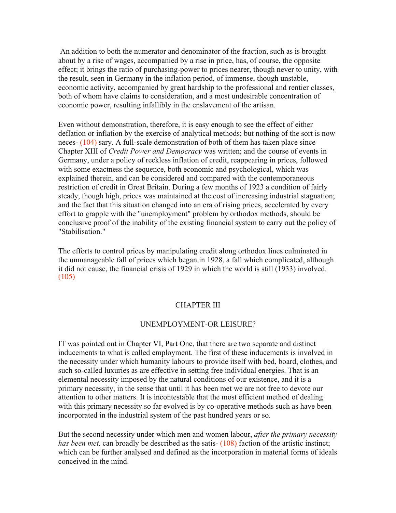An addition to both the numerator and denominator of the fraction, such as is brought about by a rise of wages, accompanied by a rise in price, has, of course, the opposite effect; it brings the ratio of purchasing-power to prices nearer, though never to unity, with the result, seen in Germany in the inflation period, of immense, though unstable, economic activity, accompanied by great hardship to the professional and rentier classes, both of whom have claims to consideration, and a most undesirable concentration of economic power, resulting infallibly in the enslavement of the artisan.

Even without demonstration, therefore, it is easy enough to see the effect of either deflation or inflation by the exercise of analytical methods; but nothing of the sort is now neces- (104) sary. A full-scale demonstration of both of them has taken place since Chapter XIII of *Credit Power and Democracy* was written; and the course of events in Germany, under a policy of reckless inflation of credit, reappearing in prices, followed with some exactness the sequence, both economic and psychological, which was explained therein, and can be considered and compared with the contemporaneous restriction of credit in Great Britain. During a few months of 1923 a condition of fairly steady, though high, prices was maintained at the cost of increasing industrial stagnation; and the fact that this situation changed into an era of rising prices, accelerated by every effort to grapple with the "unemployment" problem by orthodox methods, should be conclusive proof of the inability of the existing financial system to carry out the policy of "Stabilisation."

The efforts to control prices by manipulating credit along orthodox lines culminated in the unmanageable fall of prices which began in 1928, a fall which complicated, although it did not cause, the financial crisis of 1929 in which the world is still (1933) involved. (105)

### CHAPTER III

# UNEMPLOYMENT-OR LEISURE?

IT was pointed out in Chapter VI, Part One, that there are two separate and distinct inducements to what is called employment. The first of these inducements is involved in the necessity under which humanity labours to provide itself with bed, board, clothes, and such so-called luxuries as are effective in setting free individual energies. That is an elemental necessity imposed by the natural conditions of our existence, and it is a primary necessity, in the sense that until it has been met we are not free to devote our attention to other matters. It is incontestable that the most efficient method of dealing with this primary necessity so far evolved is by co-operative methods such as have been incorporated in the industrial system of the past hundred years or so.

But the second necessity under which men and women labour, *after the primary necessity has been met,* can broadly be described as the satis- (108) faction of the artistic instinct; which can be further analysed and defined as the incorporation in material forms of ideals conceived in the mind.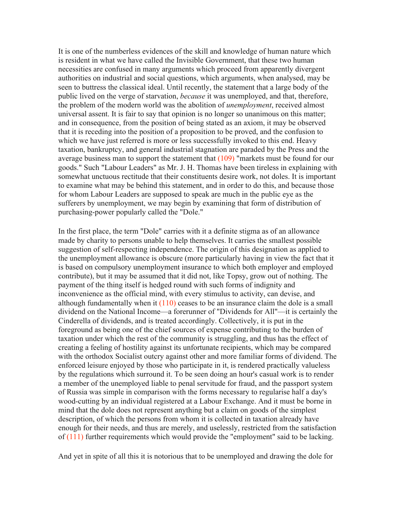It is one of the numberless evidences of the skill and knowledge of human nature which is resident in what we have called the Invisible Government, that these two human necessities are confused in many arguments which proceed from apparently divergent authorities on industrial and social questions, which arguments, when analysed, may be seen to buttress the classical ideal. Until recently, the statement that a large body of the public lived on the verge of starvation, *because* it was unemployed, and that, therefore, the problem of the modern world was the abolition of *unemployment*, received almost universal assent. It is fair to say that opinion is no longer so unanimous on this matter; and in consequence, from the position of being stated as an axiom, it may be observed that it is receding into the position of a proposition to be proved, and the confusion to which we have just referred is more or less successfully invoked to this end. Heavy taxation, bankruptcy, and general industrial stagnation are paraded by the Press and the average business man to support the statement that (109) "markets must be found for our goods." Such "Labour Leaders" as Mr. J. H. Thomas have been tireless in explaining with somewhat unctuous rectitude that their constituents desire work, not doles. It is important to examine what may be behind this statement, and in order to do this, and because those for whom Labour Leaders are supposed to speak are much in the public eye as the sufferers by unemployment, we may begin by examining that form of distribution of purchasing-power popularly called the "Dole."

In the first place, the term "Dole" carries with it a definite stigma as of an allowance made by charity to persons unable to help themselves. It carries the smallest possible suggestion of self-respecting independence. The origin of this designation as applied to the unemployment allowance is obscure (more particularly having in view the fact that it is based on compulsory unemployment insurance to which both employer and employed contribute), but it may be assumed that it did not, like Topsy, grow out of nothing. The payment of the thing itself is hedged round with such forms of indignity and inconvenience as the official mind, with every stimulus to activity, can devise, and although fundamentally when it  $(110)$  ceases to be an insurance claim the dole is a small dividend on the National Income—a forerunner of "Dividends for All"—it is certainly the Cinderella of dividends, and is treated accordingly. Collectively, it is put in the foreground as being one of the chief sources of expense contributing to the burden of taxation under which the rest of the community is struggling, and thus has the effect of creating a feeling of hostility against its unfortunate recipients, which may be compared with the orthodox Socialist outcry against other and more familiar forms of dividend. The enforced leisure enjoyed by those who participate in it, is rendered practically valueless by the regulations which surround it. To be seen doing an hour's casual work is to render a member of the unemployed liable to penal servitude for fraud, and the passport system of Russia was simple in comparison with the forms necessary to regularise half a day's wood-cutting by an individual registered at a Labour Exchange. And it must be borne in mind that the dole does not represent anything but a claim on goods of the simplest description, of which the persons from whom it is collected in taxation already have enough for their needs, and thus are merely, and uselessly, restricted from the satisfaction of (111) further requirements which would provide the "employment" said to be lacking.

And yet in spite of all this it is notorious that to be unemployed and drawing the dole for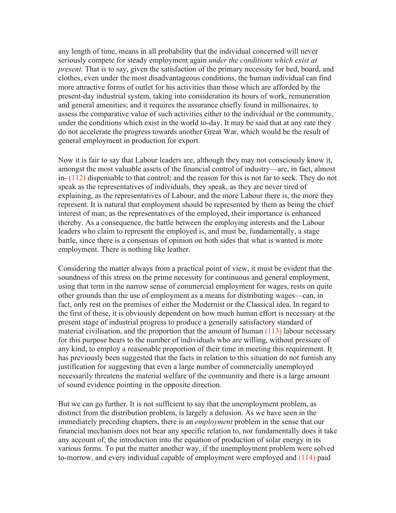any length of time, means in all probability that the individual concerned will never seriously compete for steady employment again *under the conditions which exist at present.* That is to say, given the satisfaction of the primary necessity for bed, board, and clothes, even under the most disadvantageous conditions, the human individual can find more attractive forms of outlet for his activities than those which are afforded by the present-day industrial system, taking into consideration its hours of work, remuneration and general amenities; and it requires the assurance chiefly found in millionaires, to assess the comparative value of such activities either to the individual or the community, under the conditions which exist in the world to-day. It may be said that at any rate they do not accelerate the progress towards another Great War, which would be the result of general employment in production for export.

Now it is fair to say that Labour leaders are, although they may not consciously know it, amongst the most valuable assets of the financial control of industry—are, in fact, almost in- (112) dispensable to that control; and the reason for this is not far to seek. They do not speak as the representatives of individuals, they speak, as they are never tired of explaining, as the representatives of Labour, and the more Labour there is, the more they represent. It is natural that employment should be represented by them as being the chief interest of man; as the representatives of the employed, their importance is enhanced thereby. As a consequence, the battle between the employing interests and the Labour leaders who claim to represent the employed is, and must be, fundamentally, a stage battle, since there is a consensus of opinion on both sides that what is wanted is more employment. There is nothing like leather.

Considering the matter always from a practical point of view, it must be evident that the soundness of this stress on the prime necessity for continuous and general employment, using that term in the narrow sense of commercial employment for wages, rests on quite other grounds than the use of employment as a means for distributing wages—can, in fact, only rest on the premises of either the Modernist or the Classical idea. In regard to the first of these, it is obviously dependent on how much human effort is necessary at the present stage of industrial progress to produce a generally satisfactory standard of material civilisation, and the proportion that the amount of human (113) labour necessary for this purpose bears to the number of individuals who are willing, without pressure of any kind, to employ a reasonable proportion of their time in meeting this requirement. It has previously been suggested that the facts in relation to this situation do not furnish any justification for suggesting that even a large number of commercially unemployed necessarily threatens the material welfare of the community and there is a large amount of sound evidence pointing in the opposite direction.

But we can go further. It is not sufficient to say that the unemployment problem, as distinct from the distribution problem, is largely a delusion. As we have seen in the immediately preceding chapters, there is an *employment* problem in the sense that our financial mechanism does not bear any specific relation to, nor fundamentally does it take any account of, the introduction into the equation of production of solar energy in its various forms. To put the matter another way, if the unemployment problem were solved to-morrow, and every individual capable of employment were employed and (114) paid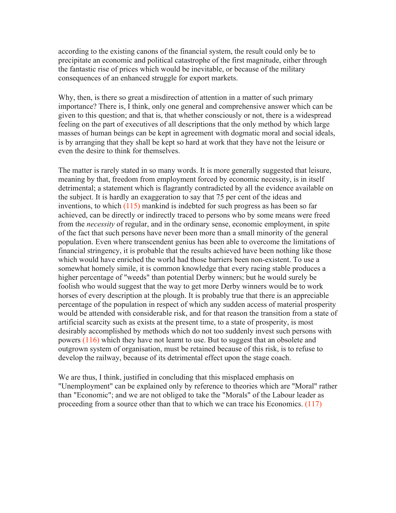according to the existing canons of the financial system, the result could only be to precipitate an economic and political catastrophe of the first magnitude, either through the fantastic rise of prices which would be inevitable, or because of the military consequences of an enhanced struggle for export markets.

Why, then, is there so great a misdirection of attention in a matter of such primary importance? There is, I think, only one general and comprehensive answer which can be given to this question; and that is, that whether consciously or not, there is a widespread feeling on the part of executives of all descriptions that the only method by which large masses of human beings can be kept in agreement with dogmatic moral and social ideals, is by arranging that they shall be kept so hard at work that they have not the leisure or even the desire to think for themselves.

The matter is rarely stated in so many words. It is more generally suggested that leisure, meaning by that, freedom from employment forced by economic necessity, is in itself detrimental; a statement which is flagrantly contradicted by all the evidence available on the subject. It is hardly an exaggeration to say that 75 per cent of the ideas and inventions, to which (115) mankind is indebted for such progress as has been so far achieved, can be directly or indirectly traced to persons who by some means were freed from the *necessity* of regular, and in the ordinary sense, economic employment, in spite of the fact that such persons have never been more than a small minority of the general population. Even where transcendent genius has been able to overcome the limitations of financial stringency, it is probable that the results achieved have been nothing like those which would have enriched the world had those barriers been non-existent. To use a somewhat homely simile, it is common knowledge that every racing stable produces a higher percentage of "weeds" than potential Derby winners; but he would surely be foolish who would suggest that the way to get more Derby winners would be to work horses of every description at the plough. It is probably true that there is an appreciable percentage of the population in respect of which any sudden access of material prosperity would be attended with considerable risk, and for that reason the transition from a state of artificial scarcity such as exists at the present time, to a state of prosperity, is most desirably accomplished by methods which do not too suddenly invest such persons with powers (116) which they have not learnt to use. But to suggest that an obsolete and outgrown system of organisation, must be retained because of this risk, is to refuse to develop the railway, because of its detrimental effect upon the stage coach.

We are thus, I think, justified in concluding that this misplaced emphasis on "Unemployment" can be explained only by reference to theories which are "Moral" rather than "Economic"; and we are not obliged to take the "Morals" of the Labour leader as proceeding from a source other than that to which we can trace his Economics. (117)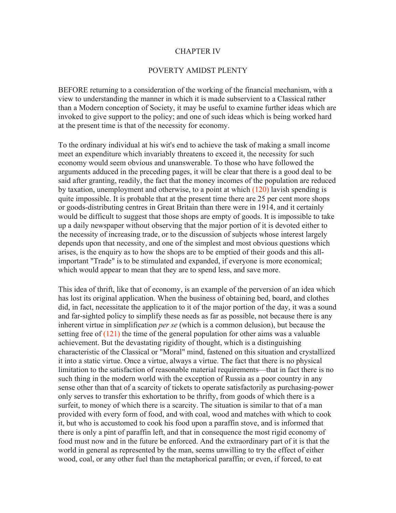### CHAPTER IV

### POVERTY AMIDST PLENTY

BEFORE returning to a consideration of the working of the financial mechanism, with a view to understanding the manner in which it is made subservient to a Classical rather than a Modern conception of Society, it may be useful to examine further ideas which are invoked to give support to the policy; and one of such ideas which is being worked hard at the present time is that of the necessity for economy.

To the ordinary individual at his wit's end to achieve the task of making a small income meet an expenditure which invariably threatens to exceed it, the necessity for such economy would seem obvious and unanswerable. To those who have followed the arguments adduced in the preceding pages, it will be clear that there is a good deal to be said after granting, readily, the fact that the money incomes of the population are reduced by taxation, unemployment and otherwise, to a point at which (120) lavish spending is quite impossible. It is probable that at the present time there are 25 per cent more shops or goods-distributing centres in Great Britain than there were in 1914, and it certainly would be difficult to suggest that those shops are empty of goods. It is impossible to take up a daily newspaper without observing that the major portion of it is devoted either to the necessity of increasing trade, or to the discussion of subjects whose interest largely depends upon that necessity, and one of the simplest and most obvious questions which arises, is the enquiry as to how the shops are to be emptied of their goods and this allimportant "Trade" is to be stimulated and expanded, if everyone is more economical; which would appear to mean that they are to spend less, and save more.

This idea of thrift, like that of economy, is an example of the perversion of an idea which has lost its original application. When the business of obtaining bed, board, and clothes did, in fact, necessitate the application to it of the major portion of the day, it was a sound and far-sighted policy to simplify these needs as far as possible, not because there is any inherent virtue in simplification *per se* (which is a common delusion), but because the setting free of  $(121)$  the time of the general population for other aims was a valuable achievement. But the devastating rigidity of thought, which is a distinguishing characteristic of the Classical or "Moral" mind, fastened on this situation and crystallized it into a static virtue. Once a virtue, always a virtue. The fact that there is no physical limitation to the satisfaction of reasonable material requirements—that in fact there is no such thing in the modern world with the exception of Russia as a poor country in any sense other than that of a scarcity of tickets to operate satisfactorily as purchasing-power only serves to transfer this exhortation to be thrifty, from goods of which there is a surfeit, to money of which there is a scarcity. The situation is similar to that of a man provided with every form of food, and with coal, wood and matches with which to cook it, but who is accustomed to cook his food upon a paraffin stove, and is informed that there is only a pint of paraffin left, and that in consequence the most rigid economy of food must now and in the future be enforced. And the extraordinary part of it is that the world in general as represented by the man, seems unwilling to try the effect of either wood, coal, or any other fuel than the metaphorical paraffin; or even, if forced, to eat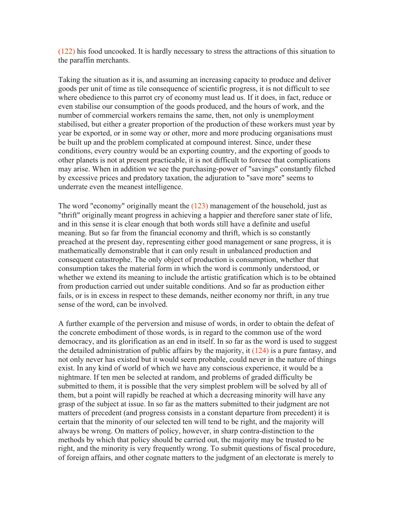(122) his food uncooked. It is hardly necessary to stress the attractions of this situation to the paraffin merchants.

Taking the situation as it is, and assuming an increasing capacity to produce and deliver goods per unit of time as tile consequence of scientific progress, it is not difficult to see where obedience to this parrot cry of economy must lead us. If it does, in fact, reduce or even stabilise our consumption of the goods produced, and the hours of work, and the number of commercial workers remains the same, then, not only is unemployment stabilised, but either a greater proportion of the production of these workers must year by year be exported, or in some way or other, more and more producing organisations must be built up and the problem complicated at compound interest. Since, under these conditions, every country would be an exporting country, and the exporting of goods to other planets is not at present practicable, it is not difficult to foresee that complications may arise. When in addition we see the purchasing-power of "savings" constantly filched by excessive prices and predatory taxation, the adjuration to "save more" seems to underrate even the meanest intelligence.

The word "economy" originally meant the (123) management of the household, just as "thrift" originally meant progress in achieving a happier and therefore saner state of life, and in this sense it is clear enough that both words still have a definite and useful meaning. But so far from the financial economy and thrift, which is so constantly preached at the present day, representing either good management or sane progress, it is mathematically demonstrable that it can only result in unbalanced production and consequent catastrophe. The only object of production is consumption, whether that consumption takes the material form in which the word is commonly understood, or whether we extend its meaning to include the artistic gratification which is to be obtained from production carried out under suitable conditions. And so far as production either fails, or is in excess in respect to these demands, neither economy nor thrift, in any true sense of the word, can be involved.

A further example of the perversion and misuse of words, in order to obtain the defeat of the concrete embodiment of those words, is in regard to the common use of the word democracy, and its glorification as an end in itself. In so far as the word is used to suggest the detailed administration of public affairs by the majority, it  $(124)$  is a pure fantasy, and not only never has existed but it would seem probable, could never in the nature of things exist. In any kind of world of which we have any conscious experience, it would be a nightmare. If ten men be selected at random, and problems of graded difficulty be submitted to them, it is possible that the very simplest problem will be solved by all of them, but a point will rapidly be reached at which a decreasing minority will have any grasp of the subject at issue. In so far as the matters submitted to their judgment are not matters of precedent (and progress consists in a constant departure from precedent) it is certain that the minority of our selected ten will tend to be right, and the majority will always be wrong. On matters of policy, however, in sharp contra-distinction to the methods by which that policy should be carried out, the majority may be trusted to be right, and the minority is very frequently wrong. To submit questions of fiscal procedure, of foreign affairs, and other cognate matters to the judgment of an electorate is merely to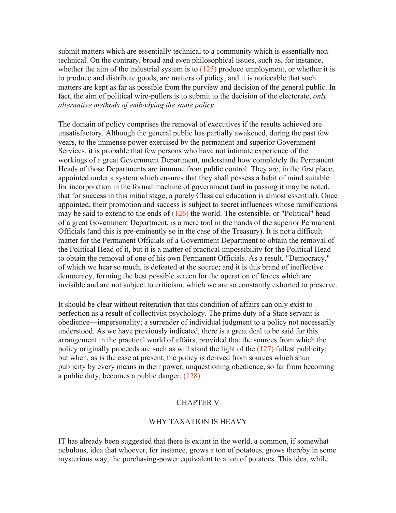submit matters which are essentially technical to a community which is essentially nontechnical. On the contrary, broad and even philosophical issues, such as, for instance, whether the aim of the industrial system is to  $(125)$  produce employment, or whether it is to produce and distribute goods, are matters of policy, and it is noticeable that such matters are kept as far as possible from the purview and decision of the general public. In fact, the aim of political wire-pullers is to submit to the decision of the electorate, *only alternative methods of embodying the same policy*.

The domain of policy comprises the removal of executives if the results achieved are unsatisfactory. Although the general public has partially awakened, during the past few years, to the immense power exercised by the permanent and superior Government Services, it is probable that few persons who have not intimate experience of the workings of a great Government Department, understand how completely the Permanent Heads of those Departments are immune from public control. They are, in the first place, appointed under a system which ensures that they shall possess a habit of mind suitable for incorporation in the formal machine of government (and in passing it may be noted, that for success in this initial stage, a purely Classical education is almost essential). Once appointed, their promotion and success is subject to secret influences whose ramifications may be said to extend to the ends of  $(126)$  the world. The ostensible, or "Political" head of a great Government Department, is a mere tool in the hands of the superior Permanent Officials (and this is pre-eminently so in the case of the Treasury). It is not a difficult matter for the Permanent Officials of a Government Department to obtain the removal of the Political Head of it, but it is a matter of practical impossibility for the Political Head to obtain the removal of one of his own Permanent Officials. As a result, "Democracy," of which we hear so much, is defeated at the source; and it is this brand of ineffective democracy, forming the best possible screen for the operation of forces which are invisible and are not subject to criticism, which we are so constantly exhorted to preserve.

It should be clear without reiteration that this condition of affairs can only exist to perfection as a result of collectivist psychology. The prime duty of a State servant is obedience—impersonality; a surrender of individual judgment to a policy not necessarily understood. As we have previously indicated, there is a great deal to be said for this arrangement in the practical world of affairs, provided that the sources from which the policy originally proceeds are such as will stand the light of the (127) fullest publicity; but when, as is the case at present, the policy is derived from sources which shun publicity by every means in their power, unquestioning obedience, so far from becoming a public duty, becomes a public danger. (128)

# CHAPTER V

# WHY TAXATION IS HEAVY

IT has already been suggested that there is extant in the world, a common, if somewhat nebulous, idea that whoever, for instance, grows a ton of potatoes, grows thereby in some mysterious way, the purchasing-power equivalent to a ton of potatoes. This idea, while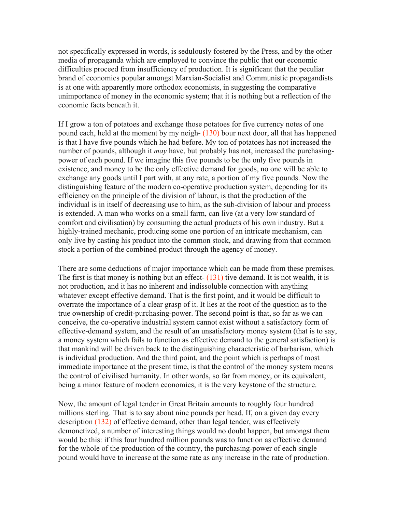not specifically expressed in words, is sedulously fostered by the Press, and by the other media of propaganda which are employed to convince the public that our economic difficulties proceed from insufficiency of production. It is significant that the peculiar brand of economics popular amongst Marxian-Socialist and Communistic propagandists is at one with apparently more orthodox economists, in suggesting the comparative unimportance of money in the economic system; that it is nothing but a reflection of the economic facts beneath it.

If I grow a ton of potatoes and exchange those potatoes for five currency notes of one pound each, held at the moment by my neigh- (130) bour next door, all that has happened is that I have five pounds which he had before. My ton of potatoes has not increased the number of pounds, although it *may* have, but probably has not, increased the purchasingpower of each pound. If we imagine this five pounds to be the only five pounds in existence, and money to be the only effective demand for goods, no one will be able to exchange any goods until I part with, at any rate, a portion of my five pounds. Now the distinguishing feature of the modern co-operative production system, depending for its efficiency on the principle of the division of labour, is that the production of the individual is in itself of decreasing use to him, as the sub-division of labour and process is extended. A man who works on a small farm, can live (at a very low standard of comfort and civilisation) by consuming the actual products of his own industry. But a highly-trained mechanic, producing some one portion of an intricate mechanism, can only live by casting his product into the common stock, and drawing from that common stock a portion of the combined product through the agency of money.

There are some deductions of major importance which can be made from these premises. The first is that money is nothing but an effect-  $(131)$  tive demand. It is not wealth, it is not production, and it has no inherent and indissoluble connection with anything whatever except effective demand. That is the first point, and it would be difficult to overrate the importance of a clear grasp of it. It lies at the root of the question as to the true ownership of credit-purchasing-power. The second point is that, so far as we can conceive, the co-operative industrial system cannot exist without a satisfactory form of effective-demand system, and the result of an unsatisfactory money system (that is to say, a money system which fails to function as effective demand to the general satisfaction) is that mankind will be driven back to the distinguishing characteristic of barbarism, which is individual production. And the third point, and the point which is perhaps of most immediate importance at the present time, is that the control of the money system means the control of civilised humanity. In other words, so far from money, or its equivalent, being a minor feature of modern economics, it is the very keystone of the structure.

Now, the amount of legal tender in Great Britain amounts to roughly four hundred millions sterling. That is to say about nine pounds per head. If, on a given day every description (132) of effective demand, other than legal tender, was effectively demonetized, a number of interesting things would no doubt happen, but amongst them would be this: if this four hundred million pounds was to function as effective demand for the whole of the production of the country, the purchasing-power of each single pound would have to increase at the same rate as any increase in the rate of production.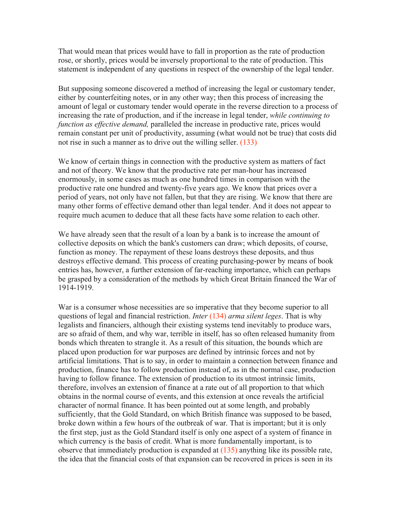That would mean that prices would have to fall in proportion as the rate of production rose, or shortly, prices would be inversely proportional to the rate of production. This statement is independent of any questions in respect of the ownership of the legal tender.

But supposing someone discovered a method of increasing the legal or customary tender, either by counterfeiting notes, or in any other way; then this process of increasing the amount of legal or customary tender would operate in the reverse direction to a process of increasing the rate of production, and if the increase in legal tender, *while continuing to function as effective demand,* paralleled the increase in productive rate, prices would remain constant per unit of productivity, assuming (what would not be true) that costs did not rise in such a manner as to drive out the willing seller. (133)

We know of certain things in connection with the productive system as matters of fact and not of theory. We know that the productive rate per man-hour has increased enormously, in some cases as much as one hundred times in comparison with the productive rate one hundred and twenty-five years ago. We know that prices over a period of years, not only have not fallen, but that they are rising. We know that there are many other forms of effective demand other than legal tender. And it does not appear to require much acumen to deduce that all these facts have some relation to each other.

We have already seen that the result of a loan by a bank is to increase the amount of collective deposits on which the bank's customers can draw; which deposits, of course, function as money. The repayment of these loans destroys these deposits, and thus destroys effective demand. This process of creating purchasing-power by means of book entries has, however, a further extension of far-reaching importance, which can perhaps be grasped by a consideration of the methods by which Great Britain financed the War of 1914-1919.

War is a consumer whose necessities are so imperative that they become superior to all questions of legal and financial restriction. *Inter* (134) *arma silent leges*. That is why legalists and financiers, although their existing systems tend inevitably to produce wars, are so afraid of them, and why war, terrible in itself, has so often released humanity from bonds which threaten to strangle it. As a result of this situation, the bounds which are placed upon production for war purposes are defined by intrinsic forces and not by artificial limitations. That is to say, in order to maintain a connection between finance and production, finance has to follow production instead of, as in the normal case, production having to follow finance. The extension of production to its utmost intrinsic limits, therefore, involves an extension of finance at a rate out of all proportion to that which obtains in the normal course of events, and this extension at once reveals the artificial character of normal finance. It has been pointed out at some length, and probably sufficiently, that the Gold Standard, on which British finance was supposed to be based, broke down within a few hours of the outbreak of war. That is important; but it is only the first step, just as the Gold Standard itself is only one aspect of a system of finance in which currency is the basis of credit. What is more fundamentally important, is to observe that immediately production is expanded at (135) anything like its possible rate, the idea that the financial costs of that expansion can be recovered in prices is seen in its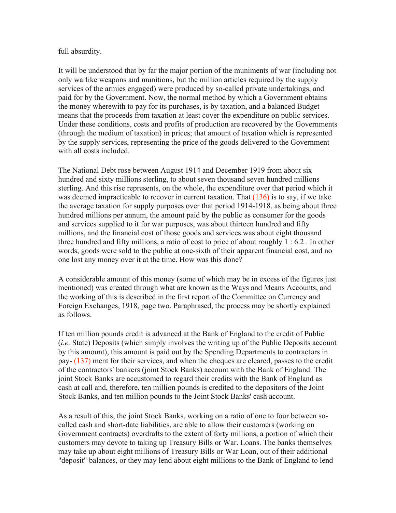# full absurdity.

It will be understood that by far the major portion of the muniments of war (including not only warlike weapons and munitions, but the million articles required by the supply services of the armies engaged) were produced by so-called private undertakings, and paid for by the Government. Now, the normal method by which a Government obtains the money wherewith to pay for its purchases, is by taxation, and a balanced Budget means that the proceeds from taxation at least cover the expenditure on public services. Under these conditions, costs and profits of production are recovered by the Governments (through the medium of taxation) in prices; that amount of taxation which is represented by the supply services, representing the price of the goods delivered to the Government with all costs included.

The National Debt rose between August 1914 and December 1919 from about six hundred and sixty millions sterling, to about seven thousand seven hundred millions sterling. And this rise represents, on the whole, the expenditure over that period which it was deemed impracticable to recover in current taxation. That  $(136)$  is to say, if we take the average taxation for supply purposes over that period 1914-1918, as being about three hundred millions per annum, the amount paid by the public as consumer for the goods and services supplied to it for war purposes, was about thirteen hundred and fifty millions, and the financial cost of those goods and services was about eight thousand three hundred and fifty millions, a ratio of cost to price of about roughly 1 : 6.2 . In other words, goods were sold to the public at one-sixth of their apparent financial cost, and no one lost any money over it at the time. How was this done?

A considerable amount of this money (some of which may be in excess of the figures just mentioned) was created through what are known as the Ways and Means Accounts, and the working of this is described in the first report of the Committee on Currency and Foreign Exchanges, 1918, page two. Paraphrased, the process may be shortly explained as follows.

If ten million pounds credit is advanced at the Bank of England to the credit of Public (*i.e.* State) Deposits (which simply involves the writing up of the Public Deposits account by this amount), this amount is paid out by the Spending Departments to contractors in pay- (137) ment for their services, and when the cheques are cleared, passes to the credit of the contractors' bankers (joint Stock Banks) account with the Bank of England. The joint Stock Banks are accustomed to regard their credits with the Bank of England as cash at call and, therefore, ten million pounds is credited to the depositors of the Joint Stock Banks, and ten million pounds to the Joint Stock Banks' cash account.

As a result of this, the joint Stock Banks, working on a ratio of one to four between socalled cash and short-date liabilities, are able to allow their customers (working on Government contracts) overdrafts to the extent of forty millions, a portion of which their customers may devote to taking up Treasury Bills or War. Loans. The banks themselves may take up about eight millions of Treasury Bills or War Loan, out of their additional "deposit" balances, or they may lend about eight millions to the Bank of England to lend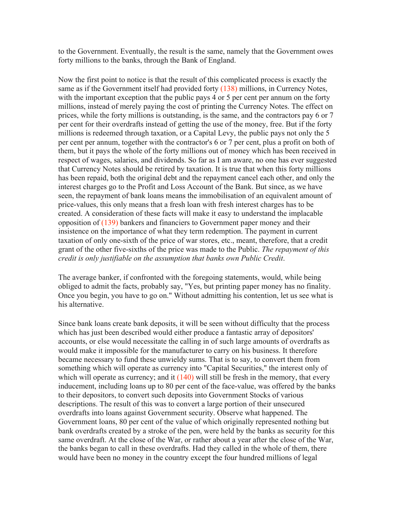to the Government. Eventually, the result is the same, namely that the Government owes forty millions to the banks, through the Bank of England.

Now the first point to notice is that the result of this complicated process is exactly the same as if the Government itself had provided forty (138) millions, in Currency Notes, with the important exception that the public pays 4 or 5 per cent per annum on the forty millions, instead of merely paying the cost of printing the Currency Notes. The effect on prices, while the forty millions is outstanding, is the same, and the contractors pay 6 or 7 per cent for their overdrafts instead of getting the use of the money, free. But if the forty millions is redeemed through taxation, or a Capital Levy, the public pays not only the 5 per cent per annum, together with the contractor's 6 or 7 per cent, plus a profit on both of them, but it pays the whole of the forty millions out of money which has been received in respect of wages, salaries, and dividends. So far as I am aware, no one has ever suggested that Currency Notes should be retired by taxation. It is true that when this forty millions has been repaid, both the original debt and the repayment cancel each other, and only the interest charges go to the Profit and Loss Account of the Bank. But since, as we have seen, the repayment of bank loans means the immobilisation of an equivalent amount of price-values, this only means that a fresh loan with fresh interest charges has to be created. A consideration of these facts will make it easy to understand the implacable opposition of (139) bankers and financiers to Government paper money and their insistence on the importance of what they term redemption. The payment in current taxation of only one-sixth of the price of war stores, etc., meant, therefore, that a credit grant of the other five-sixths of the price was made to the Public. *The repayment of this credit is only justifiable on the assumption that banks own Public Credit*.

The average banker, if confronted with the foregoing statements, would, while being obliged to admit the facts, probably say, "Yes, but printing paper money has no finality. Once you begin, you have to go on." Without admitting his contention, let us see what is his alternative.

Since bank loans create bank deposits, it will be seen without difficulty that the process which has just been described would either produce a fantastic array of depositors' accounts, or else would necessitate the calling in of such large amounts of overdrafts as would make it impossible for the manufacturer to carry on his business. It therefore became necessary to fund these unwieldy sums. That is to say, to convert them from something which will operate as currency into "Capital Securities," the interest only of which will operate as currency; and it  $(140)$  will still be fresh in the memory, that every inducement, including loans up to 80 per cent of the face-value, was offered by the banks to their depositors, to convert such deposits into Government Stocks of various descriptions. The result of this was to convert a large portion of their unsecured overdrafts into loans against Government security. Observe what happened. The Government loans, 80 per cent of the value of which originally represented nothing but bank overdrafts created by a stroke of the pen, were held by the banks as security for this same overdraft. At the close of the War, or rather about a year after the close of the War, the banks began to call in these overdrafts. Had they called in the whole of them, there would have been no money in the country except the four hundred millions of legal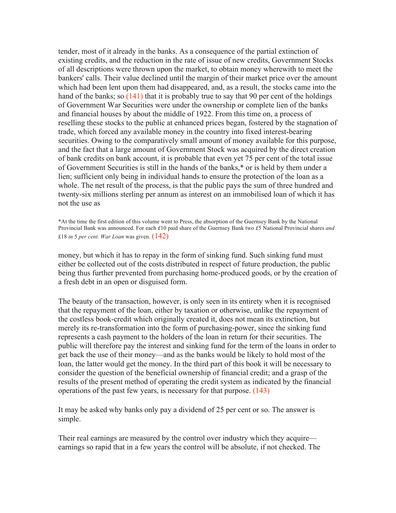tender, most of it already in the banks. As a consequence of the partial extinction of existing credits, and the reduction in the rate of issue of new credits, Government Stocks of all descriptions were thrown upon the market, to obtain money wherewith to meet the bankers' calls. Their value declined until the margin of their market price over the amount which had been lent upon them had disappeared, and, as a result, the stocks came into the hand of the banks; so (141) that it is probably true to say that 90 per cent of the holdings of Government War Securities were under the ownership or complete lien of the banks and financial houses by about the middle of 1922. From this time on, a process of reselling these stocks to the public at enhanced prices began, fostered by the stagnation of trade, which forced any available money in the country into fixed interest-bearing securities. Owing to the comparatively small amount of money available for this purpose, and the fact that a large amount of Government Stock was acquired by the direct creation of bank credits on bank account, it is probable that even yet 75 per cent of the total issue of Government Securities is still in the hands of the banks,\* or is held by them under a lien; sufficient only being in individual hands to ensure the protection of the loan as a whole. The net result of the process, is that the public pays the sum of three hundred and twenty-six millions sterling per annum as interest on an immobilised loan of which it has not the use as

\*At the time the first edition of this volume went to Press, the absorption of the Guernsey Bank by the National Provincial Bank was announced. For each *£*10 paid share of the Guernsey Bank two *£*5 National Provincial shares *and*  £18 *in* 5 *per cent. War Loan* was given. (142)

money, but which it has to repay in the form of sinking fund. Such sinking fund must either be collected out of the costs distributed in respect of future production, the public being thus further prevented from purchasing home-produced goods, or by the creation of a fresh debt in an open or disguised form.

The beauty of the transaction, however, is only seen in its entirety when it is recognised that the repayment of the loan, either by taxation or otherwise, unlike the repayment of the costless book-credit which originally created it, does not mean its extinction, but merely its re-transformation into the form of purchasing-power, since the sinking fund represents a cash payment to the holders of the loan in return for their securities. The public will therefore pay the interest and sinking fund for the term of the loans in order to get back the use of their money—and as the banks would be likely to hold most of the loan, the latter would get the money. In the third part of this book it will be necessary to consider the question of the beneficial ownership of financial credit; and a grasp of the results of the present method of operating the credit system as indicated by the financial operations of the past few years, is necessary for that purpose. (143)

It may be asked why banks only pay a dividend of 25 per cent or so. The answer is simple.

Their real earnings are measured by the control over industry which they acquire earnings so rapid that in a few years the control will be absolute, if not checked. The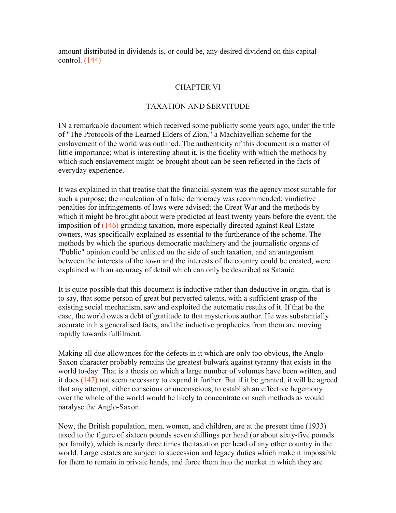amount distributed in dividends is, or could be, any desired dividend on this capital control. (144)

# CHAPTER VI

# TAXATION AND SERVITUDE

IN a remarkable document which received some publicity some years ago, under the title of "The Protocols of the Learned Elders of Zion," a Machiavellian scheme for the enslavement of the world was outlined. The authenticity of this document is a matter of little importance; what is interesting about it, is the fidelity with which the methods by which such enslavement might be brought about can be seen reflected in the facts of everyday experience.

It was explained in that treatise that the financial system was the agency most suitable for such a purpose; the inculcation of a false democracy was recommended; vindictive penalties for infringements of laws were advised; the Great War and the methods by which it might be brought about were predicted at least twenty years before the event; the imposition of (146) grinding taxation, more especially directed against Real Estate owners, was specifically explained as essential to the furtherance of the scheme. The methods by which the spurious democratic machinery and the journalistic organs of "Public" opinion could be enlisted on the side of such taxation, and an antagonism between the interests of the town and the interests of the country could be created, were explained with an accuracy of detail which can only be described as Satanic.

It is quite possible that this document is inductive rather than deductive in origin, that is to say, that some person of great but perverted talents, with a sufficient grasp of the existing social mechanism, saw and exploited the automatic results of it. If that be the case, the world owes a debt of gratitude to that mysterious author. He was substantially accurate in his generalised facts, and the inductive prophecies from them are moving rapidly towards fulfilment.

Making all due allowances for the defects in it which are only too obvious, the Anglo-Saxon character probably remains the greatest bulwark against tyranny that exists in the world to-day. That is a thesis on which a large number of volumes have been written, and it does (147) not seem necessary to expand it further. But if it be granted, it will be agreed that any attempt, either conscious or unconscious, to establish an effective hegemony over the whole of the world would be likely to concentrate on such methods as would paralyse the Anglo-Saxon.

Now, the British population, men, women, and children, are at the present time (1933) taxed to the figure of sixteen pounds seven shillings per head (or about sixty-five pounds per family), which is nearly three times the taxation per head of any other country in the world. Large estates are subject to succession and legacy duties which make it impossible for them to remain in private hands, and force them into the market in which they are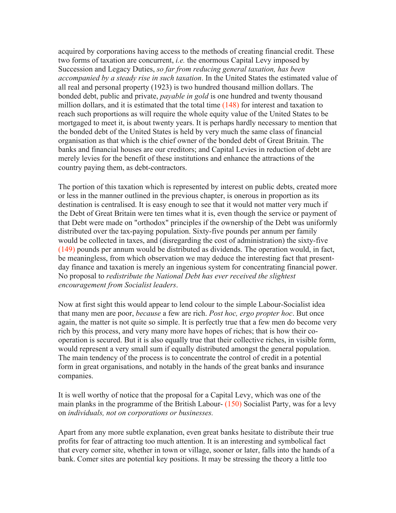acquired by corporations having access to the methods of creating financial credit. These two forms of taxation are concurrent, *i.e.* the enormous Capital Levy imposed by Succession and Legacy Duties, *so far from reducing general taxation, has been accompanied by a steady rise in such taxation*. In the United States the estimated value of all real and personal property (1923) is two hundred thousand million dollars. The bonded debt, public and private, *payable in gold* is one hundred and twenty thousand million dollars, and it is estimated that the total time (148) for interest and taxation to reach such proportions as will require the whole equity value of the United States to be mortgaged to meet it, is about twenty years. It is perhaps hardly necessary to mention that the bonded debt of the United States is held by very much the same class of financial organisation as that which is the chief owner of the bonded debt of Great Britain. The banks and financial houses are our creditors; and Capital Levies in reduction of debt are merely levies for the benefit of these institutions and enhance the attractions of the country paying them, as debt-contractors.

The portion of this taxation which is represented by interest on public debts, created more or less in the manner outlined in the previous chapter, is onerous in proportion as its destination is centralised. It is easy enough to see that it would not matter very much if the Debt of Great Britain were ten times what it is, even though the service or payment of that Debt were made on "orthodox" principles if the ownership of the Debt was uniformly distributed over the tax-paying population. Sixty-five pounds per annum per family would be collected in taxes, and (disregarding the cost of administration) the sixty-five (149) pounds per annum would be distributed as dividends. The operation would, in fact, be meaningless, from which observation we may deduce the interesting fact that presentday finance and taxation is merely an ingenious system for concentrating financial power. No proposal to *redistribute the National Debt has ever received the slightest encouragement from Socialist leaders*.

Now at first sight this would appear to lend colour to the simple Labour-Socialist idea that many men are poor, *because* a few are rich. *Post hoc, ergo propter hoc*. But once again, the matter is not quite so simple. It is perfectly true that a few men do become very rich by this process, and very many more have hopes of riches; that is how their cooperation is secured. But it is also equally true that their collective riches, in visible form, would represent a very small sum if equally distributed amongst the general population. The main tendency of the process is to concentrate the control of credit in a potential form in great organisations, and notably in the hands of the great banks and insurance companies.

It is well worthy of notice that the proposal for a Capital Levy, which was one of the main planks in the programme of the British Labour- (150) Socialist Party, was for a levy on *individuals, not on corporations or businesses.*

Apart from any more subtle explanation, even great banks hesitate to distribute their true profits for fear of attracting too much attention. It is an interesting and symbolical fact that every corner site, whether in town or village, sooner or later, falls into the hands of a bank. Comer sites are potential key positions. It may be stressing the theory a little too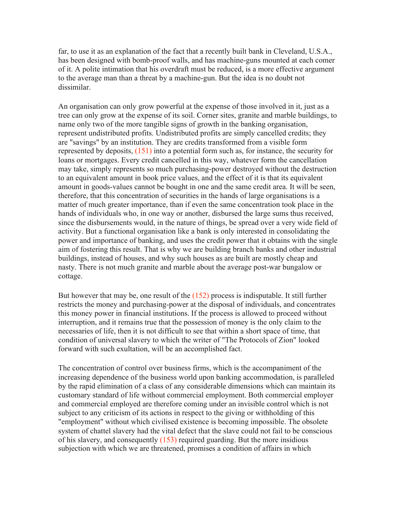far, to use it as an explanation of the fact that a recently built bank in Cleveland, U.S.A., has been designed with bomb-proof walls, and has machine-guns mounted at each comer of it. A polite intimation that his overdraft must be reduced, is a more effective argument to the average man than a threat by a machine-gun. But the idea is no doubt not dissimilar.

An organisation can only grow powerful at the expense of those involved in it, just as a tree can only grow at the expense of its soil. Corner sites, granite and marble buildings, to name only two of the more tangible signs of growth in the banking organisation, represent undistributed profits. Undistributed profits are simply cancelled credits; they are "savings" by an institution. They are credits transformed from a visible form represented by deposits, (151) into a potential form such as, for instance, the security for loans or mortgages. Every credit cancelled in this way, whatever form the cancellation may take, simply represents so much purchasing-power destroyed without the destruction to an equivalent amount in book price values, and the effect of it is that its equivalent amount in goods-values cannot be bought in one and the same credit area. It will be seen, therefore, that this concentration of securities in the hands of large organisations is a matter of much greater importance, than if even the same concentration took place in the hands of individuals who, in one way or another, disbursed the large sums thus received, since the disbursements would, in the nature of things, be spread over a very wide field of activity. But a functional organisation like a bank is only interested in consolidating the power and importance of banking, and uses the credit power that it obtains with the single aim of fostering this result. That is why we are building branch banks and other industrial buildings, instead of houses, and why such houses as are built are mostly cheap and nasty. There is not much granite and marble about the average post-war bungalow or cottage.

But however that may be, one result of the (152) process is indisputable. It still further restricts the money and purchasing-power at the disposal of individuals, and concentrates this money power in financial institutions. If the process is allowed to proceed without interruption, and it remains true that the possession of money is the only claim to the necessaries of life, then it is not difficult to see that within a short space of time, that condition of universal slavery to which the writer of "The Protocols of Zion" looked forward with such exultation, will be an accomplished fact.

The concentration of control over business firms, which is the accompaniment of the increasing dependence of the business world upon banking accommodation, is paralleled by the rapid elimination of a class of any considerable dimensions which can maintain its customary standard of life without commercial employment. Both commercial employer and commercial employed are therefore coming under an invisible control which is not subject to any criticism of its actions in respect to the giving or withholding of this "employment" without which civilised existence is becoming impossible. The obsolete system of chattel slavery had the vital defect that the slave could not fail to be conscious of his slavery, and consequently (153) required guarding. But the more insidious subjection with which we are threatened, promises a condition of affairs in which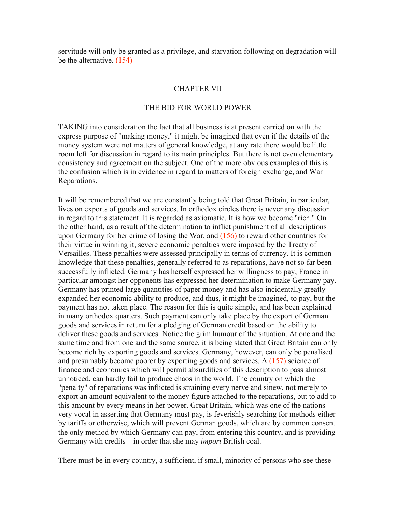servitude will only be granted as a privilege, and starvation following on degradation will be the alternative. (154)

#### CHAPTER VII

#### THE BID FOR WORLD POWER

TAKING into consideration the fact that all business is at present carried on with the express purpose of "making money," it might be imagined that even if the details of the money system were not matters of general knowledge, at any rate there would be little room left for discussion in regard to its main principles. But there is not even elementary consistency and agreement on the subject. One of the more obvious examples of this is the confusion which is in evidence in regard to matters of foreign exchange, and War Reparations.

It will be remembered that we are constantly being told that Great Britain, in particular, lives on exports of goods and services. In orthodox circles there is never any discussion in regard to this statement. It is regarded as axiomatic. It is how we become "rich." On the other hand, as a result of the determination to inflict punishment of all descriptions upon Germany for her crime of losing the War, and (156) to reward other countries for their virtue in winning it, severe economic penalties were imposed by the Treaty of Versailles. These penalties were assessed principally in terms of currency. It is common knowledge that these penalties, generally referred to as reparations, have not so far been successfully inflicted. Germany has herself expressed her willingness to pay; France in particular amongst her opponents has expressed her determination to make Germany pay. Germany has printed large quantities of paper money and has also incidentally greatly expanded her economic ability to produce, and thus, it might be imagined, to pay, but the payment has not taken place. The reason for this is quite simple, and has been explained in many orthodox quarters. Such payment can only take place by the export of German goods and services in return for a pledging of German credit based on the ability to deliver these goods and services. Notice the grim humour of the situation. At one and the same time and from one and the same source, it is being stated that Great Britain can only become rich by exporting goods and services. Germany, however, can only be penalised and presumably become poorer by exporting goods and services. A (157) science of finance and economics which will permit absurdities of this description to pass almost unnoticed, can hardly fail to produce chaos in the world. The country on which the "penalty" of reparations was inflicted is straining every nerve and sinew, not merely to export an amount equivalent to the money figure attached to the reparations, but to add to this amount by every means in her power. Great Britain, which was one of the nations very vocal in asserting that Germany must pay, is feverishly searching for methods either by tariffs or otherwise, which will prevent German goods, which are by common consent the only method by which Germany can pay, from entering this country, and is providing Germany with credits—in order that she may *import* British coal.

There must be in every country, a sufficient, if small, minority of persons who see these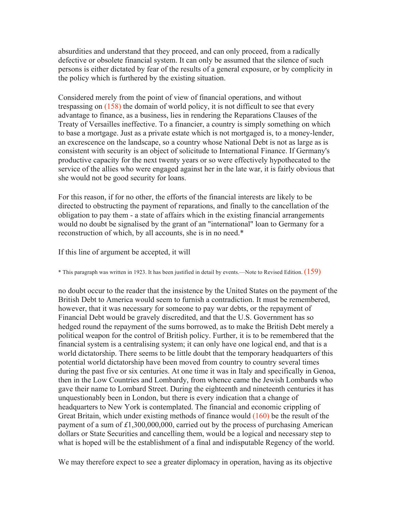absurdities and understand that they proceed, and can only proceed, from a radically defective or obsolete financial system. It can only be assumed that the silence of such persons is either dictated by fear of the results of a general exposure, or by complicity in the policy which is furthered by the existing situation.

Considered merely from the point of view of financial operations, and without trespassing on (158) the domain of world policy, it is not difficult to see that every advantage to finance, as a business, lies in rendering the Reparations Clauses of the Treaty of Versailles ineffective. To a financier, a country is simply something on which to base a mortgage. Just as a private estate which is not mortgaged is, to a money-lender, an excrescence on the landscape, so a country whose National Debt is not as large as is consistent with security is an object of solicitude to International Finance. If Germany's productive capacity for the next twenty years or so were effectively hypothecated to the service of the allies who were engaged against her in the late war, it is fairly obvious that she would not be good security for loans.

For this reason, if for no other, the efforts of the financial interests are likely to be directed to obstructing the payment of reparations, and finally to the cancellation of the obligation to pay them - a state of affairs which in the existing financial arrangements would no doubt be signalised by the grant of an "international" loan to Germany for a reconstruction of which, by all accounts, she is in no need.\*

If this line of argument be accepted, it will

 $*$  This paragraph was written in 1923. It has been justified in detail by events.—Note to Revised Edition.  $(159)$ 

no doubt occur to the reader that the insistence by the United States on the payment of the British Debt to America would seem to furnish a contradiction. It must be remembered, however, that it was necessary for someone to pay war debts, or the repayment of Financial Debt would be gravely discredited, and that the U.S. Government has so hedged round the repayment of the sums borrowed, as to make the British Debt merely a political weapon for the control of British policy. Further, it is to be remembered that the financial system is a centralising system; it can only have one logical end, and that is a world dictatorship. There seems to be little doubt that the temporary headquarters of this potential world dictatorship have been moved from country to country several times during the past five or six centuries. At one time it was in Italy and specifically in Genoa, then in the Low Countries and Lombardy, from whence came the Jewish Lombards who gave their name to Lombard Street. During the eighteenth and nineteenth centuries it has unquestionably been in London, but there is every indication that a change of headquarters to New York is contemplated. The financial and economic crippling of Great Britain, which under existing methods of finance would (160) be the result of the payment of a sum of £1,300,000,000, carried out by the process of purchasing American dollars or State Securities and cancelling them, would be a logical and necessary step to what is hoped will be the establishment of a final and indisputable Regency of the world.

We may therefore expect to see a greater diplomacy in operation, having as its objective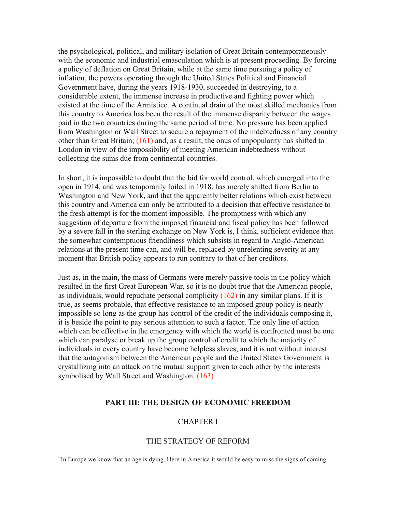the psychological, political, and military isolation of Great Britain contemporaneously with the economic and industrial emasculation which is at present proceeding. By forcing a policy of deflation on Great Britain, while at the same time pursuing a policy of inflation, the powers operating through the United States Political and Financial Government have, during the years 1918-1930, succeeded in destroying, to a considerable extent, the immense increase in productive and fighting power which existed at the time of the Armistice. A continual drain of the most skilled mechanics from this country to America has been the result of the immense disparity between the wages paid in the two countries during the same period of time. No pressure has been applied from Washington or Wall Street to secure a repayment of the indebtedness of any country other than Great Britain; (161) and, as a result, the onus of unpopularity has shifted to London in view of the impossibility of meeting American indebtedness without collecting the sums due from continental countries.

In short, it is impossible to doubt that the bid for world control, which emerged into the open in 1914, and was temporarily foiled in 1918, has merely shifted from Berlin to Washington and New York, and that the apparently better relations which exist between this country and America can only be attributed to a decision that effective resistance to the fresh attempt is for the moment impossible. The promptness with which any suggestion of departure from the imposed financial and fiscal policy has been followed by a severe fall in the sterling exchange on New York is, I think, sufficient evidence that the somewhat contemptuous friendliness which subsists in regard to Anglo-American relations at the present time can, and will be, replaced by unrelenting severity at any moment that British policy appears to run contrary to that of her creditors.

Just as, in the main, the mass of Germans were merely passive tools in the policy which resulted in the first Great European War, so it is no doubt true that the American people, as individuals, would repudiate personal complicity  $(162)$  in any similar plans. If it is true, as seems probable, that effective resistance to an imposed group policy is nearly impossible so long as the group has control of the credit of the individuals composing it, it is beside the point to pay serious attention to such a factor. The only line of action which can be effective in the emergency with which the world is confronted must be one which can paralyse or break up the group control of credit to which the majority of individuals in every country have become helpless slaves; and it is not without interest that the antagonism between the American people and the United States Government is crystallizing into an attack on the mutual support given to each other by the interests symbolised by Wall Street and Washington. (163)

### **PART III: THE DESIGN OF ECONOMIC FREEDOM**

# CHAPTER I

### THE STRATEGY OF REFORM

"In Europe we know that an age is dying. Here in America it would be easy to miss the signs of coming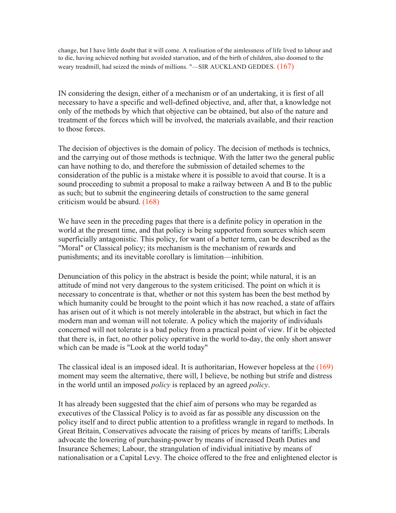change, but I have little doubt that it will come. A realisation of the aimlessness of life lived to labour and to die, having achieved nothing but avoided starvation, and of the birth of children, also doomed to the weary treadmill, had seized the minds of millions. "—SIR AUCKLAND GEDDES. (167)

IN considering the design, either of a mechanism or of an undertaking, it is first of all necessary to have a specific and well-defined objective, and, after that, a knowledge not only of the methods by which that objective can be obtained, but also of the nature and treatment of the forces which will be involved, the materials available, and their reaction to those forces.

The decision of objectives is the domain of policy. The decision of methods is technics, and the carrying out of those methods is technique. With the latter two the general public can have nothing to do, and therefore the submission of detailed schemes to the consideration of the public is a mistake where it is possible to avoid that course. It is a sound proceeding to submit a proposal to make a railway between A and B to the public as such; but to submit the engineering details of construction to the same general criticism would be absurd. (168)

We have seen in the preceding pages that there is a definite policy in operation in the world at the present time, and that policy is being supported from sources which seem superficially antagonistic. This policy, for want of a better term, can be described as the "Moral" or Classical policy; its mechanism is the mechanism of rewards and punishments; and its inevitable corollary is limitation—inhibition.

Denunciation of this policy in the abstract is beside the point; while natural, it is an attitude of mind not very dangerous to the system criticised. The point on which it is necessary to concentrate is that, whether or not this system has been the best method by which humanity could be brought to the point which it has now reached, a state of affairs has arisen out of it which is not merely intolerable in the abstract, but which in fact the modern man and woman will not tolerate. A policy which the majority of individuals concerned will not tolerate is a bad policy from a practical point of view. If it be objected that there is, in fact, no other policy operative in the world to-day, the only short answer which can be made is "Look at the world today"

The classical ideal is an imposed ideal. It is authoritarian, However hopeless at the (169) moment may seem the alternative, there will, I believe, be nothing but strife and distress in the world until an imposed *policy* is replaced by an agreed *policy*.

It has already been suggested that the chief aim of persons who may be regarded as executives of the Classical Policy is to avoid as far as possible any discussion on the policy itself and to direct public attention to a profitless wrangle in regard to methods. In Great Britain, Conservatives advocate the raising of prices by means of tariffs; Liberals advocate the lowering of purchasing-power by means of increased Death Duties and Insurance Schemes; Labour, the strangulation of individual initiative by means of nationalisation or a Capital Levy. The choice offered to the free and enlightened elector is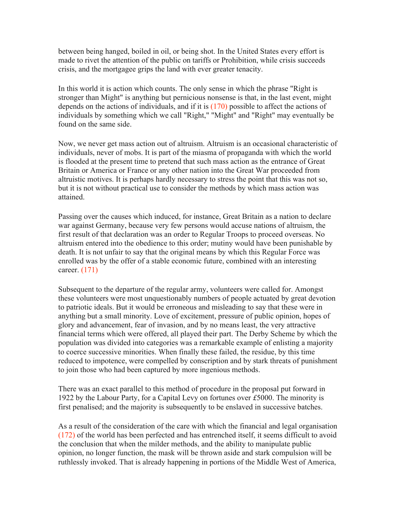between being hanged, boiled in oil, or being shot. In the United States every effort is made to rivet the attention of the public on tariffs or Prohibition, while crisis succeeds crisis, and the mortgagee grips the land with ever greater tenacity.

In this world it is action which counts. The only sense in which the phrase "Right is stronger than Might" is anything but pernicious nonsense is that, in the last event, might depends on the actions of individuals, and if it is (170) possible to affect the actions of individuals by something which we call "Right," "Might" and "Right" may eventually be found on the same side.

Now, we never get mass action out of altruism. Altruism is an occasional characteristic of individuals, never of mobs. It is part of the miasma of propaganda with which the world is flooded at the present time to pretend that such mass action as the entrance of Great Britain or America or France or any other nation into the Great War proceeded from altruistic motives. It is perhaps hardly necessary to stress the point that this was not so, but it is not without practical use to consider the methods by which mass action was attained.

Passing over the causes which induced, for instance, Great Britain as a nation to declare war against Germany, because very few persons would accuse nations of altruism, the first result of that declaration was an order to Regular Troops to proceed overseas. No altruism entered into the obedience to this order; mutiny would have been punishable by death. It is not unfair to say that the original means by which this Regular Force was enrolled was by the offer of a stable economic future, combined with an interesting career. (171)

Subsequent to the departure of the regular army, volunteers were called for. Amongst these volunteers were most unquestionably numbers of people actuated by great devotion to patriotic ideals. But it would be erroneous and misleading to say that these were in anything but a small minority. Love of excitement, pressure of public opinion, hopes of glory and advancement, fear of invasion, and by no means least, the very attractive financial terms which were offered, all played their part. The Derby Scheme by which the population was divided into categories was a remarkable example of enlisting a majority to coerce successive minorities. When finally these failed, the residue, by this time reduced to impotence, were compelled by conscription and by stark threats of punishment to join those who had been captured by more ingenious methods.

There was an exact parallel to this method of procedure in the proposal put forward in 1922 by the Labour Party, for a Capital Levy on fortunes over *£*5000. The minority is first penalised; and the majority is subsequently to be enslaved in successive batches.

As a result of the consideration of the care with which the financial and legal organisation (172) of the world has been perfected and has entrenched itself, it seems difficult to avoid the conclusion that when the milder methods, and the ability to manipulate public opinion, no longer function, the mask will be thrown aside and stark compulsion will be ruthlessly invoked. That is already happening in portions of the Middle West of America,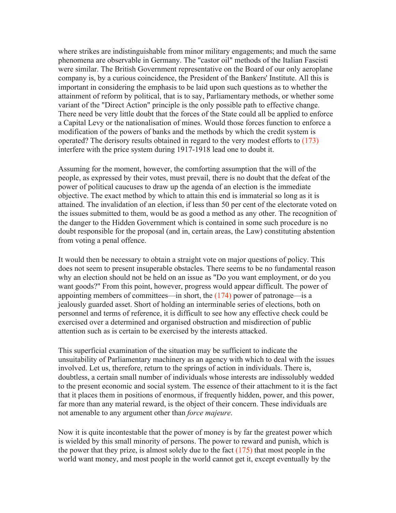where strikes are indistinguishable from minor military engagements; and much the same phenomena are observable in Germany. The "castor oil" methods of the Italian Fascisti were similar. The British Government representative on the Board of our only aeroplane company is, by a curious coincidence, the President of the Bankers' Institute. All this is important in considering the emphasis to be laid upon such questions as to whether the attainment of reform by political, that is to say, Parliamentary methods, or whether some variant of the "Direct Action" principle is the only possible path to effective change. There need be very little doubt that the forces of the State could all be applied to enforce a Capital Levy or the nationalisation of mines. Would those forces function to enforce a modification of the powers of banks and the methods by which the credit system is operated? The derisory results obtained in regard to the very modest efforts to (173) interfere with the price system during 1917-1918 lead one to doubt it.

Assuming for the moment, however, the comforting assumption that the will of the people, as expressed by their votes, must prevail, there is no doubt that the defeat of the power of political caucuses to draw up the agenda of an election is the immediate objective. The exact method by which to attain this end is immaterial so long as it is attained. The invalidation of an election, if less than 50 per cent of the electorate voted on the issues submitted to them, would be as good a method as any other. The recognition of the danger to the Hidden Government which is contained in some such procedure is no doubt responsible for the proposal (and in, certain areas, the Law) constituting abstention from voting a penal offence.

It would then be necessary to obtain a straight vote on major questions of policy. This does not seem to present insuperable obstacles. There seems to be no fundamental reason why an election should not be held on an issue as "Do you want employment, or do you want goods?" From this point, however, progress would appear difficult. The power of appointing members of committees—in short, the  $(174)$  power of patronage—is a jealously guarded asset. Short of holding an interminable series of elections, both on personnel and terms of reference, it is difficult to see how any effective check could be exercised over a determined and organised obstruction and misdirection of public attention such as is certain to be exercised by the interests attacked.

This superficial examination of the situation may be sufficient to indicate the unsuitability of Parliamentary machinery as an agency with which to deal with the issues involved. Let us, therefore, return to the springs of action in individuals. There is, doubtless, a certain small number of individuals whose interests are indissolubly wedded to the present economic and social system. The essence of their attachment to it is the fact that it places them in positions of enormous, if frequently hidden, power, and this power, far more than any material reward, is the object of their concern. These individuals are not amenable to any argument other than *force majeure*.

Now it is quite incontestable that the power of money is by far the greatest power which is wielded by this small minority of persons. The power to reward and punish, which is the power that they prize, is almost solely due to the fact  $(175)$  that most people in the world want money, and most people in the world cannot get it, except eventually by the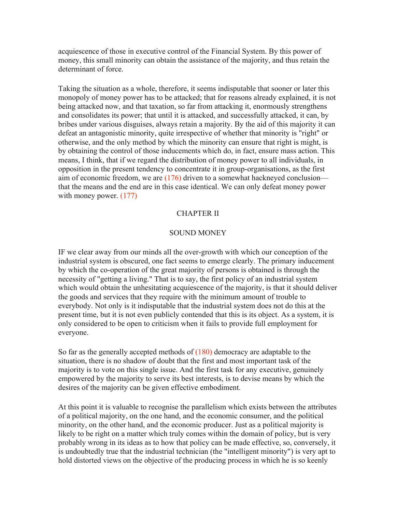acquiescence of those in executive control of the Financial System. By this power of money, this small minority can obtain the assistance of the majority, and thus retain the determinant of force

Taking the situation as a whole, therefore, it seems indisputable that sooner or later this monopoly of money power has to be attacked; that for reasons already explained, it is not being attacked now, and that taxation, so far from attacking it, enormously strengthens and consolidates its power; that until it is attacked, and successfully attacked, it can, by bribes under various disguises, always retain a majority. By the aid of this majority it can defeat an antagonistic minority, quite irrespective of whether that minority is "right" or otherwise, and the only method by which the minority can ensure that right is might, is by obtaining the control of those inducements which do, in fact, ensure mass action. This means, I think, that if we regard the distribution of money power to all individuals, in opposition in the present tendency to concentrate it in group-organisations, as the first aim of economic freedom, we are  $(176)$  driven to a somewhat hackneyed conclusion that the means and the end are in this case identical. We can only defeat money power with money power. (177)

# CHAPTER II

### SOUND MONEY

IF we clear away from our minds all the over-growth with which our conception of the industrial system is obscured, one fact seems to emerge clearly. The primary inducement by which the co-operation of the great majority of persons is obtained is through the necessity of "getting a living." That is to say, the first policy of an industrial system which would obtain the unhesitating acquiescence of the majority, is that it should deliver the goods and services that they require with the minimum amount of trouble to everybody. Not only is it indisputable that the industrial system does not do this at the present time, but it is not even publicly contended that this is its object. As a system, it is only considered to be open to criticism when it fails to provide full employment for everyone.

So far as the generally accepted methods of (180) democracy are adaptable to the situation, there is no shadow of doubt that the first and most important task of the majority is to vote on this single issue. And the first task for any executive, genuinely empowered by the majority to serve its best interests, is to devise means by which the desires of the majority can be given effective embodiment.

At this point it is valuable to recognise the parallelism which exists between the attributes of a political majority, on the one hand, and the economic consumer, and the political minority, on the other hand, and the economic producer. Just as a political majority is likely to be right on a matter which truly comes within the domain of policy, but is very probably wrong in its ideas as to how that policy can be made effective, so, conversely, it is undoubtedly true that the industrial technician (the "intelligent minority") is very apt to hold distorted views on the objective of the producing process in which he is so keenly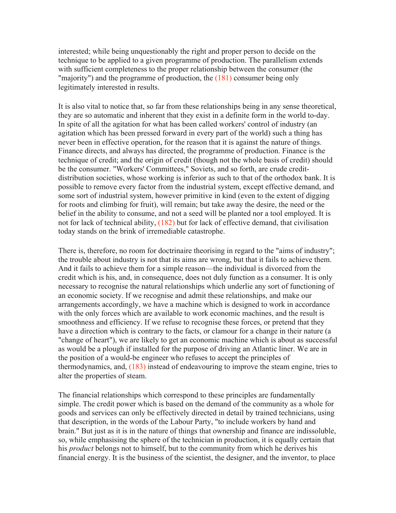interested; while being unquestionably the right and proper person to decide on the technique to be applied to a given programme of production. The parallelism extends with sufficient completeness to the proper relationship between the consumer (the "majority") and the programme of production, the (181) consumer being only legitimately interested in results.

It is also vital to notice that, so far from these relationships being in any sense theoretical, they are so automatic and inherent that they exist in a definite form in the world to-day. In spite of all the agitation for what has been called workers' control of industry (an agitation which has been pressed forward in every part of the world) such a thing has never been in effective operation, for the reason that it is against the nature of things. Finance directs, and always has directed, the programme of production. Finance is the technique of credit; and the origin of credit (though not the whole basis of credit) should be the consumer. "Workers' Committees," Soviets, and so forth, are crude creditdistribution societies, whose working is inferior as such to that of the orthodox bank. It is possible to remove every factor from the industrial system, except effective demand, and some sort of industrial system, however primitive in kind (even to the extent of digging for roots and climbing for fruit), will remain; but take away the desire, the need or the belief in the ability to consume, and not a seed will be planted nor a tool employed. It is not for lack of technical ability, (182) but for lack of effective demand, that civilisation today stands on the brink of irremediable catastrophe.

There is, therefore, no room for doctrinaire theorising in regard to the "aims of industry"; the trouble about industry is not that its aims are wrong, but that it fails to achieve them. And it fails to achieve them for a simple reason—the individual is divorced from the credit which is his, and, in consequence, does not duly function as a consumer. It is only necessary to recognise the natural relationships which underlie any sort of functioning of an economic society. If we recognise and admit these relationships, and make our arrangements accordingly, we have a machine which is designed to work in accordance with the only forces which are available to work economic machines, and the result is smoothness and efficiency. If we refuse to recognise these forces, or pretend that they have a direction which is contrary to the facts, or clamour for a change in their nature (a "change of heart"), we are likely to get an economic machine which is about as successful as would be a plough if installed for the purpose of driving an Atlantic liner. We are in the position of a would-be engineer who refuses to accept the principles of thermodynamics, and, (183) instead of endeavouring to improve the steam engine, tries to alter the properties of steam.

The financial relationships which correspond to these principles are fundamentally simple. The credit power which is based on the demand of the community as a whole for goods and services can only be effectively directed in detail by trained technicians, using that description, in the words of the Labour Party, "to include workers by hand and brain." But just as it is in the nature of things that ownership and finance are indissoluble, so, while emphasising the sphere of the technician in production, it is equally certain that his *product* belongs not to himself, but to the community from which he derives his financial energy. It is the business of the scientist, the designer, and the inventor, to place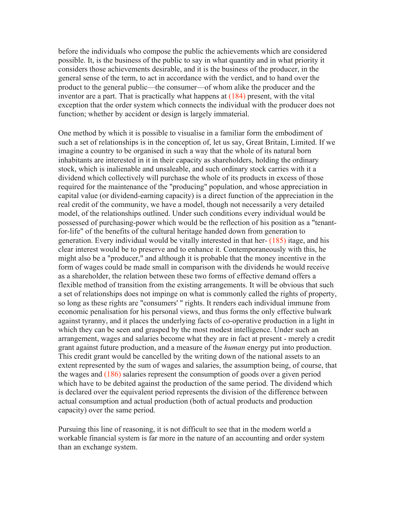before the individuals who compose the public the achievements which are considered possible. It, is the business of the public to say in what quantity and in what priority it considers those achievements desirable, and it is the business of the producer, in the general sense of the term, to act in accordance with the verdict, and to hand over the product to the general public—the consumer—of whom alike the producer and the inventor are a part. That is practically what happens at (184) present, with the vital exception that the order system which connects the individual with the producer does not function; whether by accident or design is largely immaterial.

One method by which it is possible to visualise in a familiar form the embodiment of such a set of relationships is in the conception of, let us say, Great Britain, Limited. If we imagine a country to be organised in such a way that the whole of its natural born inhabitants are interested in it in their capacity as shareholders, holding the ordinary stock, which is inalienable and unsaleable, and such ordinary stock carries with it a dividend which collectively will purchase the whole of its products in excess of those required for the maintenance of the "producing" population, and whose appreciation in capital value (or dividend-earning capacity) is a direct function of the appreciation in the real credit of the community, we have a model, though not necessarily a very detailed model, of the relationships outlined. Under such conditions every individual would be possessed of purchasing-power which would be the reflection of his position as a "tenantfor-life" of the benefits of the cultural heritage handed down from generation to generation. Every individual would be vitally interested in that her- (185) itage, and his clear interest would be to preserve and to enhance it. Contemporaneously with this, he might also be a "producer," and although it is probable that the money incentive in the form of wages could be made small in comparison with the dividends he would receive as a shareholder, the relation between these two forms of effective demand offers a flexible method of transition from the existing arrangements. It will be obvious that such a set of relationships does not impinge on what is commonly called the rights of property, so long as these rights are "consumers' " rights. It renders each individual immune from economic penalisation for his personal views, and thus forms the only effective bulwark against tyranny, and it places the underlying facts of co-operative production in a light in which they can be seen and grasped by the most modest intelligence. Under such an arrangement, wages and salaries become what they are in fact at present - merely a credit grant against future production, and a measure of the *human* energy put into production. This credit grant would be cancelled by the writing down of the national assets to an extent represented by the sum of wages and salaries, the assumption being, of course, that the wages and (186) salaries represent the consumption of goods over a given period which have to be debited against the production of the same period. The dividend which is declared over the equivalent period represents the division of the difference between actual consumption and actual production (both of actual products and production capacity) over the same period.

Pursuing this line of reasoning, it is not difficult to see that in the modern world a workable financial system is far more in the nature of an accounting and order system than an exchange system.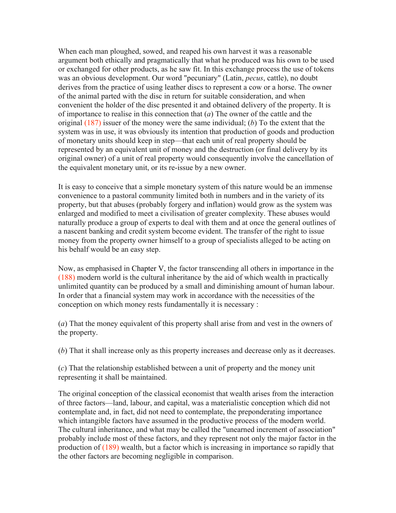When each man ploughed, sowed, and reaped his own harvest it was a reasonable argument both ethically and pragmatically that what he produced was his own to be used or exchanged for other products, as he saw fit. In this exchange process the use of tokens was an obvious development. Our word "pecuniary" (Latin, *pecus*, cattle), no doubt derives from the practice of using leather discs to represent a cow or a horse. The owner of the animal parted with the disc in return for suitable consideration, and when convenient the holder of the disc presented it and obtained delivery of the property. It is of importance to realise in this connection that (*a*) The owner of the cattle and the original (187) issuer of the money were the same individual; (*b*) To the extent that the system was in use, it was obviously its intention that production of goods and production of monetary units should keep in step—that each unit of real property should be represented by an equivalent unit of money and the destruction (or final delivery by its original owner) of a unit of real property would consequently involve the cancellation of the equivalent monetary unit, or its re-issue by a new owner.

It is easy to conceive that a simple monetary system of this nature would be an immense convenience to a pastoral community limited both in numbers and in the variety of its property, but that abuses (probably forgery and inflation) would grow as the system was enlarged and modified to meet a civilisation of greater complexity. These abuses would naturally produce a group of experts to deal with them and at once the general outlines of a nascent banking and credit system become evident. The transfer of the right to issue money from the property owner himself to a group of specialists alleged to be acting on his behalf would be an easy step.

Now, as emphasised in Chapter V, the factor transcending all others in importance in the (188) modern world is the cultural inheritance by the aid of which wealth in practically unlimited quantity can be produced by a small and diminishing amount of human labour. In order that a financial system may work in accordance with the necessities of the conception on which money rests fundamentally it is necessary :

(*a*) That the money equivalent of this property shall arise from and vest in the owners of the property.

(*b*) That it shall increase only as this property increases and decrease only as it decreases.

(*c*) That the relationship established between a unit of property and the money unit representing it shall be maintained.

The original conception of the classical economist that wealth arises from the interaction of three factors—land, labour, and capital, was a materialistic conception which did not contemplate and, in fact, did not need to contemplate, the preponderating importance which intangible factors have assumed in the productive process of the modern world. The cultural inheritance, and what may be called the "unearned increment of association" probably include most of these factors, and they represent not only the major factor in the production of (189) wealth, but a factor which is increasing in importance so rapidly that the other factors are becoming negligible in comparison.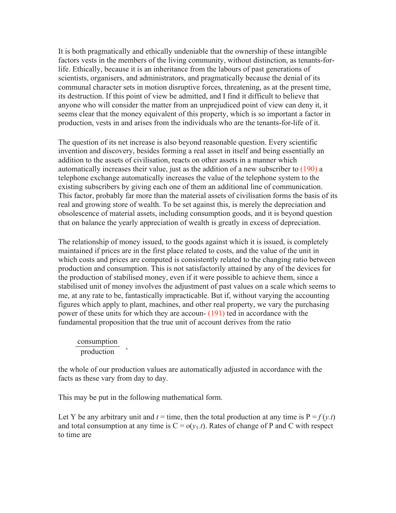It is both pragmatically and ethically undeniable that the ownership of these intangible factors vests in the members of the living community, without distinction, as tenants-forlife. Ethically, because it is an inheritance from the labours of past generations of scientists, organisers, and administrators, and pragmatically because the denial of its communal character sets in motion disruptive forces, threatening, as at the present time, its destruction. If this point of view be admitted, and I find it difficult to believe that anyone who will consider the matter from an unprejudiced point of view can deny it, it seems clear that the money equivalent of this property, which is so important a factor in production, vests in and arises from the individuals who are the tenants-for-life of it.

The question of its net increase is also beyond reasonable question. Every scientific invention and discovery, besides forming a real asset in itself and being essentially an addition to the assets of civilisation, reacts on other assets in a manner which automatically increases their value, just as the addition of a new subscriber to (190) a telephone exchange automatically increases the value of the telephone system to the existing subscribers by giving each one of them an additional line of communication. This factor, probably far more than the material assets of civilisation forms the basis of its real and growing store of wealth. To be set against this, is merely the depreciation and obsolescence of material assets, including consumption goods, and it is beyond question that on balance the yearly appreciation of wealth is greatly in excess of depreciation.

The relationship of money issued, to the goods against which it is issued, is completely maintained if prices are in the first place related to costs, and the value of the unit in which costs and prices are computed is consistently related to the changing ratio between production and consumption. This is not satisfactorily attained by any of the devices for the production of stabilised money, even if it were possible to achieve them, since a stabilised unit of money involves the adjustment of past values on a scale which seems to me, at any rate to be, fantastically impracticable. But if, without varying the accounting figures which apply to plant, machines, and other real property, we vary the purchasing power of these units for which they are accoun- (191) ted in accordance with the fundamental proposition that the true unit of account derives from the ratio

consumption production  $\overline{\phantom{a}}$ ,

the whole of our production values are automatically adjusted in accordance with the facts as these vary from day to day.

This may be put in the following mathematical form.

Let Y be any arbitrary unit and  $t =$  time, then the total production at any time is  $P = f(y,t)$ and total consumption at any time is  $C = \varphi(\gamma_1, t)$ . Rates of change of P and C with respect to time are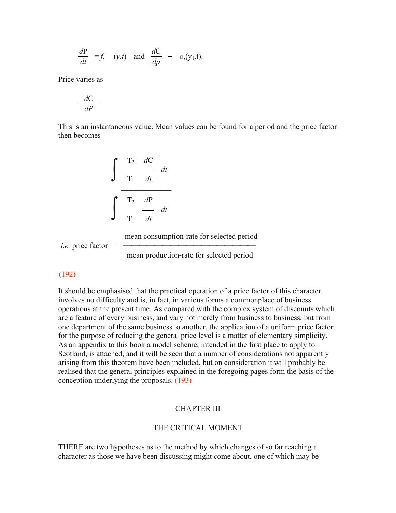$$
\frac{dP}{dt} = f, \quad (y.t) \text{ and } \frac{dC}{dp} = o, (y_1.t).
$$

Price varies as

$$
\frac{dC}{dP}
$$

This is an instantaneous value. Mean values can be found for a period and the price factor then becomes

$$
\int \frac{T_2}{T_1} \frac{dC}{dt} dt
$$
\n
$$
\int \frac{T_2}{T_1} \frac{dP}{dt} dt
$$

mean consumption-rate for selected period

*i.e.* price factor  $=$   $-$ 

mean production-rate for selected period

### (192)

It should be emphasised that the practical operation of a price factor of this character involves no difficulty and is, in fact, in various forms a commonplace of business operations at the present time. As compared with the complex system of discounts which are a feature of every business, and vary not merely from business to business, but from one department of the same business to another, the application of a uniform price factor for the purpose of reducing the general price level is a matter of elementary simplicity. As an appendix to this book a model scheme, intended in the first place to apply to Scotland, is attached, and it will be seen that a number of considerations not apparently arising from this theorem have been included, but on consideration it will probably be realised that the general principles explained in the foregoing pages form the basis of the conception underlying the proposals. (193)

### CHAPTER III

#### THE CRITICAL MOMENT

THERE are two hypotheses as to the method by which changes of so far reaching a character as those we have been discussing might come about, one of which may be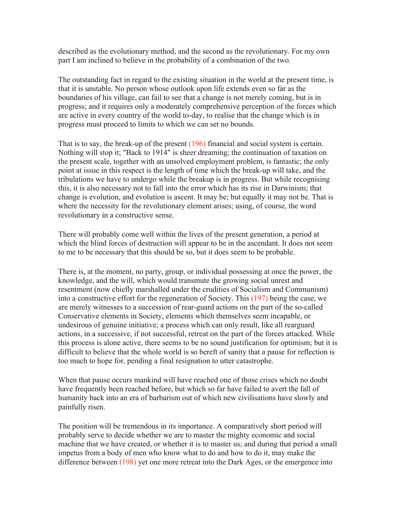described as the evolutionary method, and the second as the revolutionary. For my own part I am inclined to believe in the probability of a combination of the two.

The outstanding fact in regard to the existing situation in the world at the present time, is that it is unstable. No person whose outlook upon life extends even so far as the boundaries of his village, can fail to see that a change is not merely coming, but is in progress; and it requires only a moderately comprehensive perception of the forces which are active in every country of the world to-day, to realise that the change which is in progress must proceed to limits to which we can set no bounds.

That is to say, the break-up of the present (196) financial and social system is certain. Nothing will stop it; "Back to 1914" is sheer dreaming; the continuation of taxation on the present scale, together with an unsolved employment problem, is fantastic; the only point at issue in this respect is the length of time which the break-up will take, and the tribulations we have to undergo while the breakup is in progress. But while recognising this, it is also necessary not to fall into the error which has its rise in Darwinism; that change is evolution, and evolution is ascent. It may be; but equally it may not be. That is where the necessity for the revolutionary element arises; using, of course, the word revolutionary in a constructive sense.

There will probably come well within the lives of the present generation, a period at which the blind forces of destruction will appear to be in the ascendant. It does not seem to me to be necessary that this should be so, but it does seem to be probable.

There is, at the moment, no party, group, or individual possessing at once the power, the knowledge, and the will, which would transmute the growing social unrest and resentment (now chiefly marshalled under the crudities of Socialism and Communism) into a constructive effort for the regeneration of Society. This (197) being the case, we are merely witnesses to a succession of rear-guard actions on the part of the so-called Conservative elements in Society, elements which themselves seem incapable, or undesirous of genuine initiative; a process which can only result, like all rearguard actions, in a successive, if not successful, retreat on the part of the forces attacked. While this process is alone active, there seems to be no sound justification for optimism; but it is difficult to believe that the whole world is so bereft of sanity that a pause for reflection is too much to hope for, pending a final resignation to utter catastrophe.

When that pause occurs mankind will have reached one of those crises which no doubt have frequently been reached before, but which so far have failed to avert the fall of humanity back into an era of barbarism out of which new civilisations have slowly and painfully risen.

The position will be tremendous in its importance. A comparatively short period will probably serve to decide whether we are to master the mighty economic and social machine that we have created, or whether it is to master us; and during that period a small impetus from a body of men who know what to do and how to do it, may make the difference between (198) yet one more retreat into the Dark Ages, or the emergence into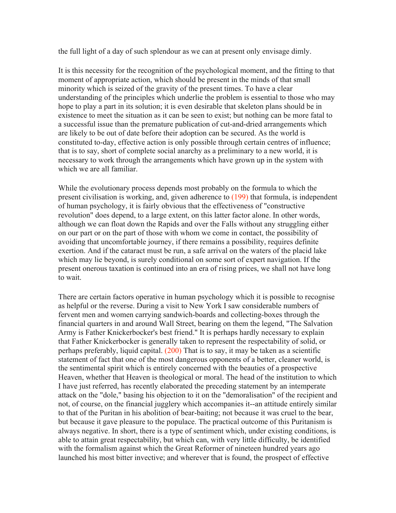the full light of a day of such splendour as we can at present only envisage dimly.

It is this necessity for the recognition of the psychological moment, and the fitting to that moment of appropriate action, which should be present in the minds of that small minority which is seized of the gravity of the present times. To have a clear understanding of the principles which underlie the problem is essential to those who may hope to play a part in its solution; it is even desirable that skeleton plans should be in existence to meet the situation as it can be seen to exist; but nothing can be more fatal to a successful issue than the premature publication of cut-and-dried arrangements which are likely to be out of date before their adoption can be secured. As the world is constituted to-day, effective action is only possible through certain centres of influence; that is to say, short of complete social anarchy as a preliminary to a new world, it is necessary to work through the arrangements which have grown up in the system with which we are all familiar.

While the evolutionary process depends most probably on the formula to which the present civilisation is working, and, given adherence to (199) that formula, is independent of human psychology, it is fairly obvious that the effectiveness of "constructive revolution" does depend, to a large extent, on this latter factor alone. In other words, although we can float down the Rapids and over the Falls without any struggling either on our part or on the part of those with whom we come in contact, the possibility of avoiding that uncomfortable journey, if there remains a possibility, requires definite exertion. And if the cataract must be run, a safe arrival on the waters of the placid lake which may lie beyond, is surely conditional on some sort of expert navigation. If the present onerous taxation is continued into an era of rising prices, we shall not have long to wait.

There are certain factors operative in human psychology which it is possible to recognise as helpful or the reverse. During a visit to New York I saw considerable numbers of fervent men and women carrying sandwich-boards and collecting-boxes through the financial quarters in and around Wall Street, bearing on them the legend, "The Salvation Army is Father Knickerbocker's best friend." It is perhaps hardly necessary to explain that Father Knickerbocker is generally taken to represent the respectability of solid, or perhaps preferably, liquid capital. (200) That is to say, it may be taken as a scientific statement of fact that one of the most dangerous opponents of a better, cleaner world, is the sentimental spirit which is entirely concerned with the beauties of a prospective Heaven, whether that Heaven is theological or moral. The head of the institution to which I have just referred, has recently elaborated the preceding statement by an intemperate attack on the "dole," basing his objection to it on the "demoralisation" of the recipient and not, of course, on the financial jugglery which accompanies it--an attitude entirely similar to that of the Puritan in his abolition of bear-baiting; not because it was cruel to the bear, but because it gave pleasure to the populace. The practical outcome of this Puritanism is always negative. In short, there is a type of sentiment which, under existing conditions, is able to attain great respectability, but which can, with very little difficulty, be identified with the formalism against which the Great Reformer of nineteen hundred years ago launched his most bitter invective; and wherever that is found, the prospect of effective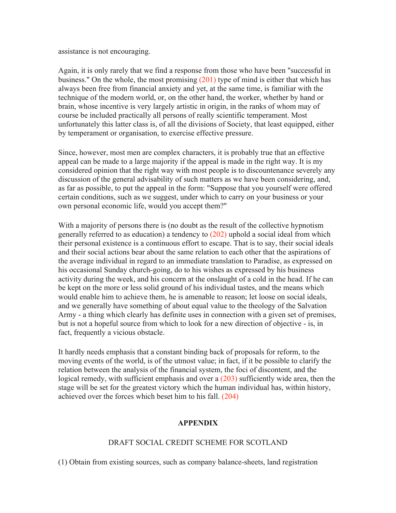assistance is not encouraging.

Again, it is only rarely that we find a response from those who have been "successful in business." On the whole, the most promising (201) type of mind is either that which has always been free from financial anxiety and yet, at the same time, is familiar with the technique of the modern world, or, on the other hand, the worker, whether by hand or brain, whose incentive is very largely artistic in origin, in the ranks of whom may of course be included practically all persons of really scientific temperament. Most unfortunately this latter class is, of all the divisions of Society, that least equipped, either by temperament or organisation, to exercise effective pressure.

Since, however, most men are complex characters, it is probably true that an effective appeal can be made to a large majority if the appeal is made in the right way. It is my considered opinion that the right way with most people is to discountenance severely any discussion of the general advisability of such matters as we have been considering, and, as far as possible, to put the appeal in the form: "Suppose that you yourself were offered certain conditions, such as we suggest, under which to carry on your business or your own personal economic life, would you accept them?"

With a majority of persons there is (no doubt as the result of the collective hypnotism generally referred to as education) a tendency to (202) uphold a social ideal from which their personal existence is a continuous effort to escape. That is to say, their social ideals and their social actions bear about the same relation to each other that the aspirations of the average individual in regard to an immediate translation to Paradise, as expressed on his occasional Sunday church-going, do to his wishes as expressed by his business activity during the week, and his concern at the onslaught of a cold in the head. If he can be kept on the more or less solid ground of his individual tastes, and the means which would enable him to achieve them, he is amenable to reason; let loose on social ideals, and we generally have something of about equal value to the theology of the Salvation Army - a thing which clearly has definite uses in connection with a given set of premises, but is not a hopeful source from which to look for a new direction of objective - is, in fact, frequently a vicious obstacle.

It hardly needs emphasis that a constant binding back of proposals for reform, to the moving events of the world, is of the utmost value; in fact, if it be possible to clarify the relation between the analysis of the financial system, the foci of discontent, and the logical remedy, with sufficient emphasis and over a  $(203)$  sufficiently wide area, then the stage will be set for the greatest victory which the human individual has, within history, achieved over the forces which beset him to his fall. (204)

### **APPENDIX**

# DRAFT SOCIAL CREDIT SCHEME FOR SCOTLAND

(1) Obtain from existing sources, such as company balance-sheets, land registration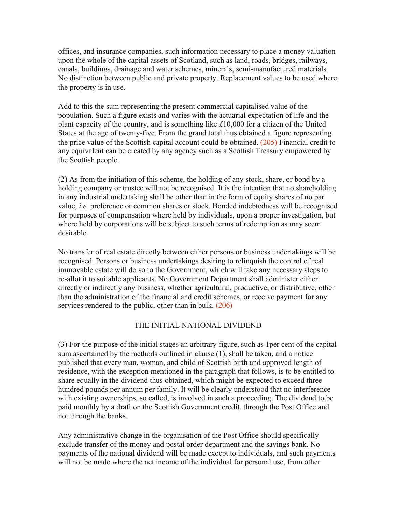offices, and insurance companies, such information necessary to place a money valuation upon the whole of the capital assets of Scotland, such as land, roads, bridges, railways, canals, buildings, drainage and water schemes, minerals, semi-manufactured materials. No distinction between public and private property. Replacement values to be used where the property is in use.

Add to this the sum representing the present commercial capitalised value of the population. Such a figure exists and varies with the actuarial expectation of life and the plant capacity of the country, and is something like *£*10,000 for a citizen of the United States at the age of twenty-five. From the grand total thus obtained a figure representing the price value of the Scottish capital account could be obtained. (205) Financial credit to any equivalent can be created by any agency such as a Scottish Treasury empowered by the Scottish people.

(2) As from the initiation of this scheme, the holding of any stock, share, or bond by a holding company or trustee will not be recognised. It is the intention that no shareholding in any industrial undertaking shall be other than in the form of equity shares of no par value, *i.e.* preference or common shares or stock. Bonded indebtedness will be recognised for purposes of compensation where held by individuals, upon a proper investigation, but where held by corporations will be subject to such terms of redemption as may seem desirable.

No transfer of real estate directly between either persons or business undertakings will be recognised. Persons or business undertakings desiring to relinquish the control of real immovable estate will do so to the Government, which will take any necessary steps to re-allot it to suitable applicants. No Government Department shall administer either directly or indirectly any business, whether agricultural, productive, or distributive, other than the administration of the financial and credit schemes, or receive payment for any services rendered to the public, other than in bulk. (206)

# THE INITIAL NATIONAL DIVIDEND

(3) For the purpose of the initial stages an arbitrary figure, such as 1per cent of the capital sum ascertained by the methods outlined in clause (1), shall be taken, and a notice published that every man, woman, and child of Scottish birth and approved length of residence, with the exception mentioned in the paragraph that follows, is to be entitled to share equally in the dividend thus obtained, which might be expected to exceed three hundred pounds per annum per family. It will be clearly understood that no interference with existing ownerships, so called, is involved in such a proceeding. The dividend to be paid monthly by a draft on the Scottish Government credit, through the Post Office and not through the banks.

Any administrative change in the organisation of the Post Office should specifically exclude transfer of the money and postal order department and the savings bank. No payments of the national dividend will be made except to individuals, and such payments will not be made where the net income of the individual for personal use, from other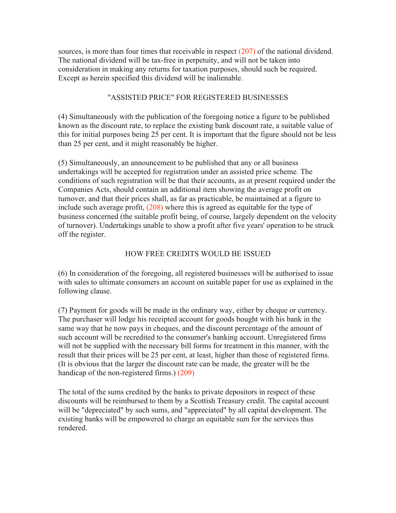sources, is more than four times that receivable in respect (207) of the national dividend. The national dividend will be tax-free in perpetuity, and will not be taken into consideration in making any returns for taxation purposes, should such be required. Except as herein specified this dividend will be inalienable.

# "ASSISTED PRICE" FOR REGISTERED BUSINESSES

(4) Simultaneously with the publication of the foregoing notice a figure to be published known as the discount rate, to replace the existing bank discount rate, a suitable value of this for initial purposes being 25 per cent. It is important that the figure should not be less than 25 per cent, and it might reasonably be higher.

(5) Simultaneously, an announcement to be published that any or all business undertakings will be accepted for registration under an assisted price scheme. The conditions of such registration will be that their accounts, as at present required under the Companies Acts, should contain an additional item showing the average profit on turnover, and that their prices shall, as far as practicable, be maintained at a figure to include such average profit, (208) where this is agreed as equitable for the type of business concerned (the suitable profit being, of course, largely dependent on the velocity of turnover). Undertakings unable to show a profit after five years' operation to be struck off the register.

# HOW FREE CREDITS WOULD BE ISSUED

(6) In consideration of the foregoing, all registered businesses will be authorised to issue with sales to ultimate consumers an account on suitable paper for use as explained in the following clause.

(7) Payment for goods will be made in the ordinary way, either by cheque or currency. The purchaser will lodge his receipted account for goods bought with his bank in the same way that he now pays in cheques, and the discount percentage of the amount of such account will be recredited to the consumer's banking account. Unregistered firms will not be supplied with the necessary bill forms for treatment in this manner, with the result that their prices will be 25 per cent, at least, higher than those of registered firms. (It is obvious that the larger the discount rate can be made, the greater will be the handicap of the non-registered firms.) (209)

The total of the sums credited by the banks to private depositors in respect of these discounts will be reimbursed to them by a Scottish Treasury credit. The capital account will be "depreciated" by such sums, and "appreciated" by all capital development. The existing banks will be empowered to charge an equitable sum for the services thus rendered.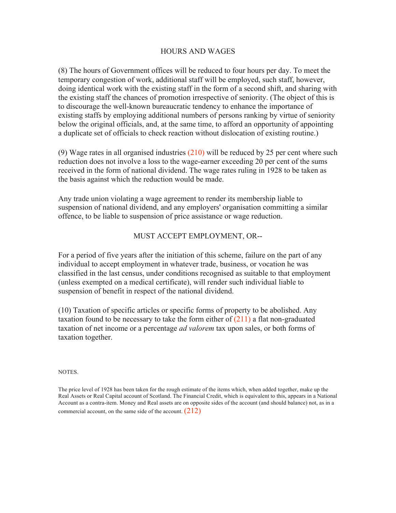### HOURS AND WAGES

(8) The hours of Government offices will be reduced to four hours per day. To meet the temporary congestion of work, additional staff will be employed, such staff, however, doing identical work with the existing staff in the form of a second shift, and sharing with the existing staff the chances of promotion irrespective of seniority. (The object of this is to discourage the well-known bureaucratic tendency to enhance the importance of existing staffs by employing additional numbers of persons ranking by virtue of seniority below the original officials, and, at the same time, to afford an opportunity of appointing a duplicate set of officials to check reaction without dislocation of existing routine.)

(9) Wage rates in all organised industries (210) will be reduced by 25 per cent where such reduction does not involve a loss to the wage-earner exceeding 20 per cent of the sums received in the form of national dividend. The wage rates ruling in 1928 to be taken as the basis against which the reduction would be made.

Any trade union violating a wage agreement to render its membership liable to suspension of national dividend, and any employers' organisation committing a similar offence, to be liable to suspension of price assistance or wage reduction.

# MUST ACCEPT EMPLOYMENT, OR--

For a period of five years after the initiation of this scheme, failure on the part of any individual to accept employment in whatever trade, business, or vocation he was classified in the last census, under conditions recognised as suitable to that employment (unless exempted on a medical certificate), will render such individual liable to suspension of benefit in respect of the national dividend.

(10) Taxation of specific articles or specific forms of property to be abolished. Any taxation found to be necessary to take the form either of  $(211)$  a flat non-graduated taxation of net income or a percentage *ad valorem* tax upon sales, or both forms of taxation together.

NOTES.

The price level of 1928 has been taken for the rough estimate of the items which, when added together, make up the Real Assets or Real Capital account of Scotland. The Financial Credit, which is equivalent to this, appears in a National Account as a contra-item. Money and Real assets are on opposite sides of the account (and should balance) not, as in a commercial account, on the same side of the account. (212)